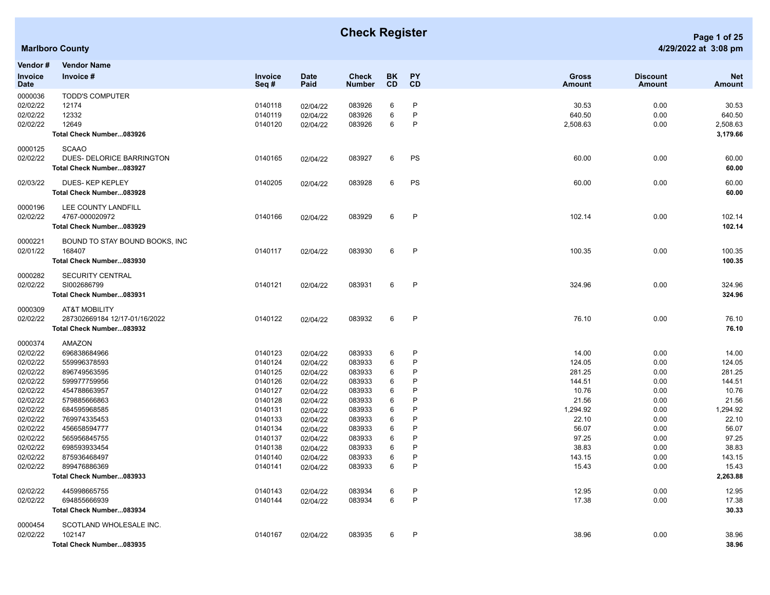## **Check Register Page 1 of 25**

| Vendor #        | <b>Vendor Name</b>             |                        |                     |                               |                 |           |                               |                           |                             |
|-----------------|--------------------------------|------------------------|---------------------|-------------------------------|-----------------|-----------|-------------------------------|---------------------------|-----------------------------|
| Invoice<br>Date | Invoice #                      | <b>Invoice</b><br>Seq# | <b>Date</b><br>Paid | <b>Check</b><br><b>Number</b> | BK<br><b>CD</b> | PY<br>CD  | <b>Gross</b><br><b>Amount</b> | <b>Discount</b><br>Amount | <b>Net</b><br><b>Amount</b> |
| 0000036         | <b>TODD'S COMPUTER</b>         |                        |                     |                               |                 |           |                               |                           |                             |
| 02/02/22        | 12174                          | 0140118                | 02/04/22            | 083926                        | 6               | P         | 30.53                         | 0.00                      | 30.53                       |
| 02/02/22        | 12332                          | 0140119                | 02/04/22            | 083926                        | 6               | P         | 640.50                        | 0.00                      | 640.50                      |
| 02/02/22        | 12649                          | 0140120                | 02/04/22            | 083926                        | 6               | P         | 2,508.63                      | 0.00                      | 2,508.63                    |
|                 | Total Check Number083926       |                        |                     |                               |                 |           |                               |                           | 3,179.66                    |
| 0000125         | <b>SCAAO</b>                   |                        |                     |                               |                 |           |                               |                           |                             |
| 02/02/22        | DUES- DELORICE BARRINGTON      | 0140165                | 02/04/22            | 083927                        | 6               | PS        | 60.00                         | 0.00                      | 60.00                       |
|                 | Total Check Number083927       |                        |                     |                               |                 |           |                               |                           | 60.00                       |
| 02/03/22        | DUES-KEP KEPLEY                | 0140205                | 02/04/22            | 083928                        | 6               | <b>PS</b> | 60.00                         | 0.00                      | 60.00                       |
|                 | Total Check Number083928       |                        |                     |                               |                 |           |                               |                           | 60.00                       |
| 0000196         | LEE COUNTY LANDFILL            |                        |                     |                               |                 |           |                               |                           |                             |
| 02/02/22        | 4767-000020972                 | 0140166                | 02/04/22            | 083929                        | 6               | P         | 102.14                        | 0.00                      | 102.14                      |
|                 | Total Check Number083929       |                        |                     |                               |                 |           |                               |                           | 102.14                      |
| 0000221         | BOUND TO STAY BOUND BOOKS, INC |                        |                     |                               |                 |           |                               |                           |                             |
| 02/01/22        | 168407                         | 0140117                | 02/04/22            | 083930                        | 6               | P         | 100.35                        | 0.00                      | 100.35                      |
|                 | Total Check Number083930       |                        |                     |                               |                 |           |                               |                           | 100.35                      |
| 0000282         | <b>SECURITY CENTRAL</b>        |                        |                     |                               |                 |           |                               |                           |                             |
| 02/02/22        | SI002686799                    | 0140121                | 02/04/22            | 083931                        | 6               | P         | 324.96                        | 0.00                      | 324.96                      |
|                 | Total Check Number083931       |                        |                     |                               |                 |           |                               |                           | 324.96                      |
| 0000309         | <b>AT&amp;T MOBILITY</b>       |                        |                     |                               |                 |           |                               |                           |                             |
| 02/02/22        | 287302669184 12/17-01/16/2022  | 0140122                | 02/04/22            | 083932                        | 6               | P         | 76.10                         | 0.00                      | 76.10                       |
|                 | Total Check Number083932       |                        |                     |                               |                 |           |                               |                           | 76.10                       |
| 0000374         | AMAZON                         |                        |                     |                               |                 |           |                               |                           |                             |
| 02/02/22        | 696838684966                   | 0140123                | 02/04/22            | 083933                        | 6               | P         | 14.00                         | 0.00                      | 14.00                       |
| 02/02/22        | 559996378593                   | 0140124                | 02/04/22            | 083933                        | 6               | P         | 124.05                        | 0.00                      | 124.05                      |
| 02/02/22        | 896749563595                   | 0140125                | 02/04/22            | 083933                        | 6               | P         | 281.25                        | 0.00                      | 281.25                      |
| 02/02/22        | 599977759956                   | 0140126                | 02/04/22            | 083933                        | 6               | P         | 144.51                        | 0.00                      | 144.51                      |
| 02/02/22        | 454788663957                   | 0140127                | 02/04/22            | 083933                        | 6               | P         | 10.76                         | 0.00                      | 10.76                       |
| 02/02/22        | 579885666863                   | 0140128                | 02/04/22            | 083933                        | 6               | P         | 21.56                         | 0.00                      | 21.56                       |
| 02/02/22        | 684595968585                   | 0140131                | 02/04/22            | 083933                        | 6               | P         | 1,294.92                      | 0.00                      | 1,294.92                    |
| 02/02/22        | 769974335453                   | 0140133                | 02/04/22            | 083933                        | 6               | P         | 22.10                         | 0.00                      | 22.10                       |
| 02/02/22        | 456658594777                   | 0140134                | 02/04/22            | 083933                        | 6               | P         | 56.07                         | 0.00                      | 56.07                       |
| 02/02/22        | 565956845755                   | 0140137                | 02/04/22            | 083933                        | 6               | P         | 97.25                         | 0.00                      | 97.25                       |
| 02/02/22        | 698593933454                   | 0140138                | 02/04/22            | 083933                        | 6               | P         | 38.83                         | 0.00                      | 38.83                       |
| 02/02/22        | 875936468497                   | 0140140                | 02/04/22            | 083933                        | 6               | P         | 143.15                        | 0.00                      | 143.15                      |
| 02/02/22        | 899476886369                   | 0140141                | 02/04/22            | 083933                        | 6               | P         | 15.43                         | 0.00                      | 15.43                       |
|                 | Total Check Number083933       |                        |                     |                               |                 |           |                               |                           | 2,263.88                    |
| 02/02/22        | 445998665755                   | 0140143                | 02/04/22            | 083934                        | 6               | P         | 12.95                         | 0.00                      | 12.95                       |
| 02/02/22        | 694855666939                   | 0140144                | 02/04/22            | 083934                        | 6               | P         | 17.38                         | 0.00                      | 17.38                       |
|                 | Total Check Number083934       |                        |                     |                               |                 |           |                               |                           | 30.33                       |
| 0000454         | SCOTLAND WHOLESALE INC.        |                        |                     |                               |                 |           |                               |                           |                             |
| 02/02/22        | 102147                         | 0140167                | 02/04/22            | 083935                        | 6               | P         | 38.96                         | 0.00                      | 38.96                       |
|                 | Total Check Number083935       |                        |                     |                               |                 |           |                               |                           | 38.96                       |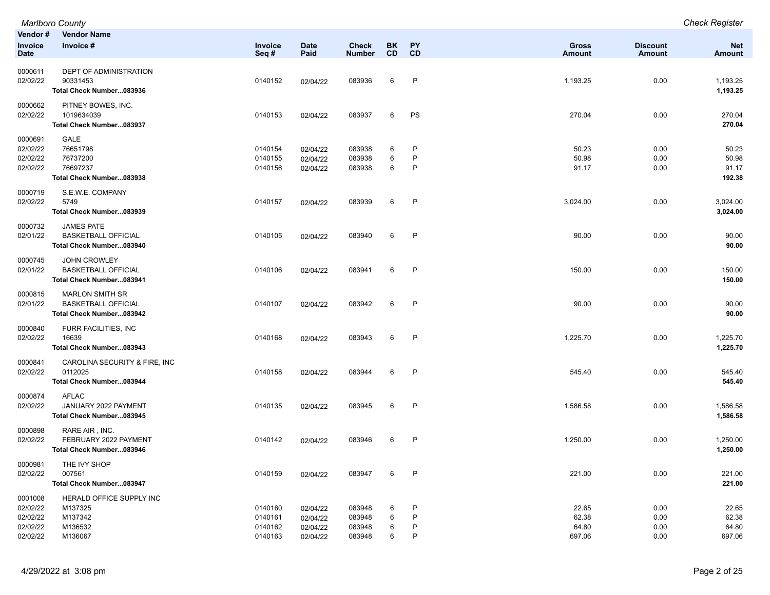|                                                         | <b>Marlboro County</b>                                                           |                                          |                                              |                                      |                        |                  |                                   |                              | <b>Check Register</b>             |
|---------------------------------------------------------|----------------------------------------------------------------------------------|------------------------------------------|----------------------------------------------|--------------------------------------|------------------------|------------------|-----------------------------------|------------------------------|-----------------------------------|
| Vendor#<br><b>Invoice</b><br>Date                       | <b>Vendor Name</b><br>Invoice #                                                  | Invoice<br>Seq#                          | <b>Date</b><br>Paid                          | <b>Check</b><br><b>Number</b>        | <b>BK</b><br><b>CD</b> | PY<br><b>CD</b>  | <b>Gross</b><br><b>Amount</b>     | <b>Discount</b><br>Amount    | <b>Net</b><br><b>Amount</b>       |
| 0000611<br>02/02/22                                     | <b>DEPT OF ADMINISTRATION</b><br>90331453<br>Total Check Number083936            | 0140152                                  | 02/04/22                                     | 083936                               | 6                      | P                | 1,193.25                          | 0.00                         | 1,193.25<br>1,193.25              |
| 0000662<br>02/02/22                                     | PITNEY BOWES, INC.<br>1019634039<br>Total Check Number083937                     | 0140153                                  | 02/04/22                                     | 083937                               | 6                      | PS               | 270.04                            | 0.00                         | 270.04<br>270.04                  |
| 0000691<br>02/02/22<br>02/02/22<br>02/02/22             | <b>GALE</b><br>76651798<br>76737200<br>76697237<br>Total Check Number083938      | 0140154<br>0140155<br>0140156            | 02/04/22<br>02/04/22<br>02/04/22             | 083938<br>083938<br>083938           | 6<br>6<br>6            | P<br>P<br>P      | 50.23<br>50.98<br>91.17           | 0.00<br>0.00<br>0.00         | 50.23<br>50.98<br>91.17<br>192.38 |
| 0000719<br>02/02/22                                     | S.E.W.E. COMPANY<br>5749<br>Total Check Number083939                             | 0140157                                  | 02/04/22                                     | 083939                               | 6                      | P                | 3,024.00                          | 0.00                         | 3,024.00<br>3,024.00              |
| 0000732<br>02/01/22                                     | <b>JAMES PATE</b><br><b>BASKETBALL OFFICIAL</b><br>Total Check Number083940      | 0140105                                  | 02/04/22                                     | 083940                               | 6                      | $\mathsf{P}$     | 90.00                             | 0.00                         | 90.00<br>90.00                    |
| 0000745<br>02/01/22                                     | <b>JOHN CROWLEY</b><br><b>BASKETBALL OFFICIAL</b><br>Total Check Number083941    | 0140106                                  | 02/04/22                                     | 083941                               | 6                      | P                | 150.00                            | 0.00                         | 150.00<br>150.00                  |
| 0000815<br>02/01/22                                     | <b>MARLON SMITH SR</b><br><b>BASKETBALL OFFICIAL</b><br>Total Check Number083942 | 0140107                                  | 02/04/22                                     | 083942                               | 6                      | P                | 90.00                             | 0.00                         | 90.00<br>90.00                    |
| 0000840<br>02/02/22                                     | FURR FACILITIES, INC<br>16639<br>Total Check Number083943                        | 0140168                                  | 02/04/22                                     | 083943                               | 6                      | P                | 1,225.70                          | 0.00                         | 1,225.70<br>1,225.70              |
| 0000841<br>02/02/22                                     | CAROLINA SECURITY & FIRE, INC<br>0112025<br>Total Check Number083944             | 0140158                                  | 02/04/22                                     | 083944                               | 6                      | P                | 545.40                            | 0.00                         | 545.40<br>545.40                  |
| 0000874<br>02/02/22                                     | <b>AFLAC</b><br>JANUARY 2022 PAYMENT<br>Total Check Number083945                 | 0140135                                  | 02/04/22                                     | 083945                               | 6                      | P                | 1,586.58                          | 0.00                         | 1,586.58<br>1,586.58              |
| 0000898<br>02/02/22                                     | RARE AIR, INC.<br>FEBRUARY 2022 PAYMENT<br>Total Check Number083946              | 0140142                                  | 02/04/22                                     | 083946                               | 6                      | P                | 1,250.00                          | 0.00                         | 1,250.00<br>1,250.00              |
| 0000981<br>02/02/22                                     | THE IVY SHOP<br>007561<br>Total Check Number083947                               | 0140159                                  | 02/04/22                                     | 083947                               | 6                      | P                | 221.00                            | 0.00                         | 221.00<br>221.00                  |
| 0001008<br>02/02/22<br>02/02/22<br>02/02/22<br>02/02/22 | HERALD OFFICE SUPPLY INC<br>M137325<br>M137342<br>M136532<br>M136067             | 0140160<br>0140161<br>0140162<br>0140163 | 02/04/22<br>02/04/22<br>02/04/22<br>02/04/22 | 083948<br>083948<br>083948<br>083948 | 6<br>6<br>6<br>6       | P<br>P<br>P<br>P | 22.65<br>62.38<br>64.80<br>697.06 | 0.00<br>0.00<br>0.00<br>0.00 | 22.65<br>62.38<br>64.80<br>697.06 |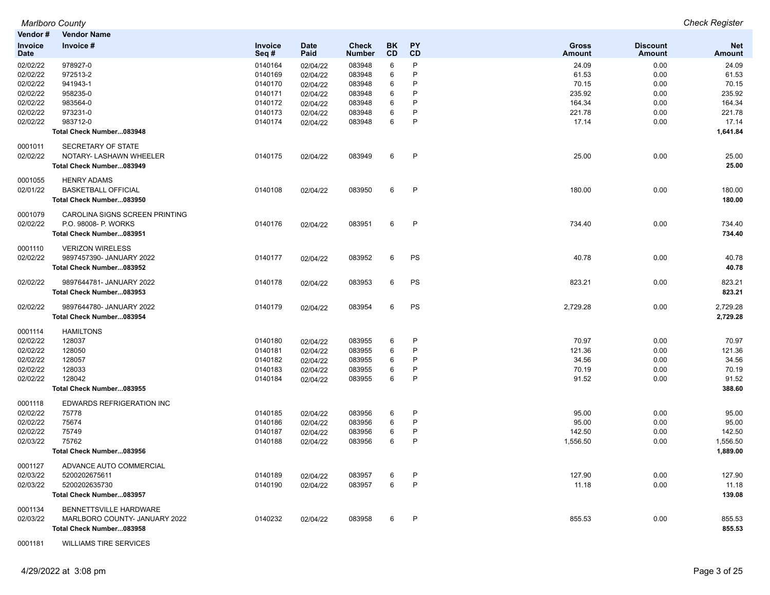|          | Marlboro County                  |         |             |               |     |           |               |                 | <b>Check Register</b> |
|----------|----------------------------------|---------|-------------|---------------|-----|-----------|---------------|-----------------|-----------------------|
| Vendor # | <b>Vendor Name</b>               |         |             |               |     |           |               |                 |                       |
| Invoice  | Invoice #                        | Invoice | <b>Date</b> | <b>Check</b>  | BK. | <b>PY</b> | <b>Gross</b>  | <b>Discount</b> | <b>Net</b>            |
| Date     |                                  | Seq#    | Paid        | <b>Number</b> | CD  | CD        | <b>Amount</b> | <b>Amount</b>   | <b>Amount</b>         |
| 02/02/22 | 978927-0                         | 0140164 | 02/04/22    | 083948        | 6   | P         | 24.09         | 0.00            | 24.09                 |
| 02/02/22 | 972513-2                         | 0140169 | 02/04/22    | 083948        | 6   | P         | 61.53         | 0.00            | 61.53                 |
| 02/02/22 | 941943-1                         | 0140170 | 02/04/22    | 083948        | 6   | P         | 70.15         | 0.00            | 70.15                 |
| 02/02/22 | 958235-0                         | 0140171 | 02/04/22    | 083948        | 6   | P         | 235.92        | 0.00            | 235.92                |
| 02/02/22 | 983564-0                         | 0140172 | 02/04/22    | 083948        | 6   | P         | 164.34        | 0.00            | 164.34                |
| 02/02/22 | 973231-0                         | 0140173 | 02/04/22    | 083948        | 6   | P         | 221.78        | 0.00            | 221.78                |
| 02/02/22 | 983712-0                         | 0140174 | 02/04/22    | 083948        | 6   | P         | 17.14         | 0.00            | 17.14                 |
|          | Total Check Number083948         |         |             |               |     |           |               |                 | 1,641.84              |
| 0001011  | SECRETARY OF STATE               |         |             |               |     |           |               |                 |                       |
| 02/02/22 | NOTARY- LASHAWN WHEELER          | 0140175 | 02/04/22    | 083949        | 6   | P         | 25.00         | 0.00            | 25.00                 |
|          | Total Check Number083949         |         |             |               |     |           |               |                 | 25.00                 |
| 0001055  | <b>HENRY ADAMS</b>               |         |             |               |     |           |               |                 |                       |
| 02/01/22 | <b>BASKETBALL OFFICIAL</b>       | 0140108 | 02/04/22    | 083950        | 6   | P         | 180.00        | 0.00            | 180.00                |
|          | Total Check Number083950         |         |             |               |     |           |               |                 | 180.00                |
| 0001079  | CAROLINA SIGNS SCREEN PRINTING   |         |             |               |     |           |               |                 |                       |
| 02/02/22 | P.O. 98008- P. WORKS             | 0140176 | 02/04/22    | 083951        | 6   | P         | 734.40        | 0.00            | 734.40                |
|          | Total Check Number083951         |         |             |               |     |           |               |                 | 734.40                |
| 0001110  | <b>VERIZON WIRELESS</b>          |         |             |               |     |           |               |                 |                       |
| 02/02/22 | 9897457390- JANUARY 2022         | 0140177 | 02/04/22    | 083952        | 6   | PS        | 40.78         | 0.00            | 40.78                 |
|          | Total Check Number083952         |         |             |               |     |           |               |                 | 40.78                 |
| 02/02/22 | 9897644781- JANUARY 2022         | 0140178 | 02/04/22    | 083953        | 6   | PS        | 823.21        | 0.00            | 823.21                |
|          | Total Check Number083953         |         |             |               |     |           |               |                 | 823.21                |
| 02/02/22 | 9897644780- JANUARY 2022         | 0140179 | 02/04/22    | 083954        | 6   | PS        | 2,729.28      | 0.00            | 2,729.28              |
|          | Total Check Number083954         |         |             |               |     |           |               |                 | 2,729.28              |
| 0001114  | <b>HAMILTONS</b>                 |         |             |               |     |           |               |                 |                       |
| 02/02/22 | 128037                           | 0140180 | 02/04/22    | 083955        | 6   | P         | 70.97         | 0.00            | 70.97                 |
| 02/02/22 | 128050                           | 0140181 | 02/04/22    | 083955        | 6   | P         | 121.36        | 0.00            | 121.36                |
| 02/02/22 | 128057                           | 0140182 | 02/04/22    | 083955        | 6   | Р         | 34.56         | 0.00            | 34.56                 |
| 02/02/22 | 128033                           | 0140183 | 02/04/22    | 083955        | 6   | P         | 70.19         | 0.00            | 70.19                 |
| 02/02/22 | 128042                           | 0140184 | 02/04/22    | 083955        | 6   | P         | 91.52         | 0.00            | 91.52                 |
|          | Total Check Number083955         |         |             |               |     |           |               |                 | 388.60                |
| 0001118  | <b>EDWARDS REFRIGERATION INC</b> |         |             |               |     |           |               |                 |                       |
| 02/02/22 | 75778                            | 0140185 | 02/04/22    | 083956        | 6   | P         | 95.00         | 0.00            | 95.00                 |
| 02/02/22 | 75674                            | 0140186 | 02/04/22    | 083956        | 6   | P         | 95.00         | 0.00            | 95.00                 |
| 02/02/22 | 75749                            | 0140187 | 02/04/22    | 083956        | 6   | P         | 142.50        | 0.00            | 142.50                |
| 02/03/22 | 75762                            | 0140188 | 02/04/22    | 083956        | 6   | P         | 1,556.50      | 0.00            | 1,556.50              |
|          | Total Check Number083956         |         |             |               |     |           |               |                 | 1,889.00              |
| 0001127  | ADVANCE AUTO COMMERCIAL          |         |             |               |     |           |               |                 |                       |
| 02/03/22 | 5200202675611                    | 0140189 | 02/04/22    | 083957        | 6   | P         | 127.90        | 0.00            | 127.90                |
| 02/03/22 | 5200202635730                    | 0140190 | 02/04/22    | 083957        | 6   | P         | 11.18         | 0.00            | 11.18                 |
|          | Total Check Number083957         |         |             |               |     |           |               |                 | 139.08                |
| 0001134  | BENNETTSVILLE HARDWARE           |         |             |               |     |           |               |                 |                       |
| 02/03/22 | MARLBORO COUNTY- JANUARY 2022    | 0140232 | 02/04/22    | 083958        | 6   | P         | 855.53        | 0.00            | 855.53                |
|          | Total Check Number083958         |         |             |               |     |           |               |                 | 855.53                |

0001181 WILLIAMS TIRE SERVICES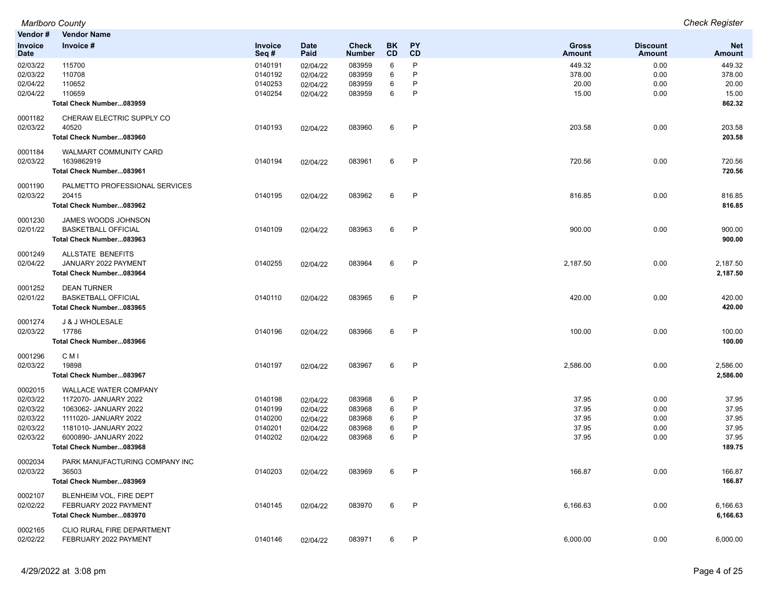*Marlboro County Check Register* **Vendor # Vendor Name Invoice Date Invoice # Invoice Seq # Date Paid Check Number BK CD PY CD Gross Amount Discount Amount Net Amount** 02/03/22 115700 0140191 02/04/22 083959 6 P 449.32 0.00 449.32 02/03/22 110708 0140192 02/04/22 083959 6 P 378.00 378.00 02/04/22 110652 0140253 02/04/22 083959 6 P 20.00 20.00 02/04/22 110659 0140254 02/04/22 083959 6 P 15.00 0.00 15.00 **Total Check Number...083959 862.32** 0001182 CHERAW ELECTRIC SUPPLY CO 02/03/22 40520 0140193 02/04/22 083960 6 P 203.58 0.00 203.58 **Total Check Number...083960 203.58** 0001184 WALMART COMMUNITY CARD 02/03/22 1639862919 0140194 02/04/22 083961 6 P 720.56 0.00 720.56 **Total Check Number...083961 720.56** 0001190 PALMETTO PROFESSIONAL SERVICES 02/03/22 20415 0140195 02/04/22 083962 6 P 816.85 0.00 816.85 **Total Check Number...083962 816.85** 0001230 JAMES WOODS JOHNSON 02/01/22 BASKETBALL OFFICIAL 0140109 02/04/22 083963 6 P 900.00 900.00 **Total Check Number...083963 900.00** 0001249 ALLSTATE BENEFITS 02/04/22 JANUARY 2022 PAYMENT 0140255 02/04/22 083964 6 P 2,187.50 0.00 2,187.50 **Total Check Number...083964 2,187.50** 0001252 DEAN TURNER 02/01/22 BASKETBALL OFFICIAL 0140110 02/04/22 083965 6 P 420.00 420.00 **Total Check Number...083965 420.00** 0001274 J & J WHOLESALE 02/03/22 17786 0140196 02/04/22 083966 6 P 100.00 0.00 100.00 **Total Check Number...083966 100.00** 0001296 C M I 02/03/22 19898 0140197 02/04/22 083967 6 P 2,586.00 2,586.00 **Total Check Number...083967 2,586.00** 0002015 WALLACE WATER COMPANY 02/03/22 1172070- JANUARY 2022 0140198 02/04/22 083968 6 P 37.95 0.00 37.95 02/03/22 1063062- JANUARY 2022 0140199 02/04/22 083968 6 P 37.95 0.00 37.95 02/03/22 1111020- JANUARY 2022 0140200 02/04/22 083968 6 P 37.95 0.00 37.95 02/03/22 1181010- JANUARY 2022 0140201 02/04/22 083968 6 P 37.95 0.00 37.95 02/03/22 6000890- JANUARY 2022 0140202 02/04/22 083968 6 P 37.95 0.00 37.95 **Total Check Number...083968 189.75** 0002034 PARK MANUFACTURING COMPANY INC 02/03/22 36503 0140203 02/04/22 083969 6 P 166.87 0.00 166.87 **Total Check Number...083969 166.87** 0002107 BLENHEIM VOL, FIRE DEPT 02/02/22 FEBRUARY 2022 PAYMENT 0140145 02/04/22 083970 6 P 6,166.63 0.00 6,166.63 **Total Check Number...083970 6,166.63** 0002165 CLIO RURAL FIRE DEPARTMENT 02/02/22 FEBRUARY 2022 PAYMENT 0140146 02/04/22 083971 6 P 6,000.00 0.00 6,000.00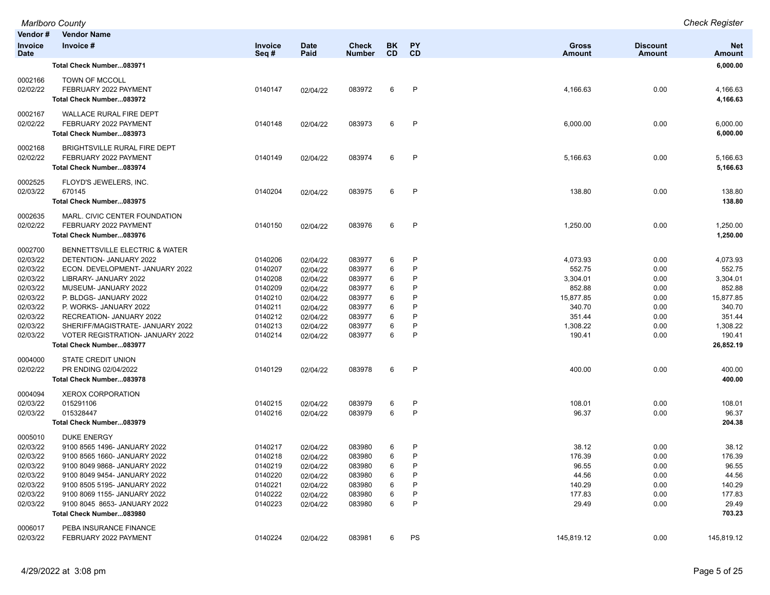| Vendor#                                                                                                                                                           | <b>Vendor Name</b>                                                                                                                                                                                                                                                                                                                                                                                                                                          |                                                                                                                       |                                                                                                                                  |                                                                                                            |                                                     |                                                          |                                                                                                                     |                                                                                      |                                                                                                                                            |
|-------------------------------------------------------------------------------------------------------------------------------------------------------------------|-------------------------------------------------------------------------------------------------------------------------------------------------------------------------------------------------------------------------------------------------------------------------------------------------------------------------------------------------------------------------------------------------------------------------------------------------------------|-----------------------------------------------------------------------------------------------------------------------|----------------------------------------------------------------------------------------------------------------------------------|------------------------------------------------------------------------------------------------------------|-----------------------------------------------------|----------------------------------------------------------|---------------------------------------------------------------------------------------------------------------------|--------------------------------------------------------------------------------------|--------------------------------------------------------------------------------------------------------------------------------------------|
| Invoice<br><b>Date</b>                                                                                                                                            | Invoice #                                                                                                                                                                                                                                                                                                                                                                                                                                                   | Invoice<br>Seq#                                                                                                       | <b>Date</b><br>Paid                                                                                                              | <b>Check</b><br><b>Number</b>                                                                              | BK<br><b>CD</b>                                     | PΥ<br>CD                                                 | <b>Gross</b><br>Amount                                                                                              | <b>Discount</b><br><b>Amount</b>                                                     | <b>Net</b><br>Amount                                                                                                                       |
|                                                                                                                                                                   | Total Check Number083971                                                                                                                                                                                                                                                                                                                                                                                                                                    |                                                                                                                       |                                                                                                                                  |                                                                                                            |                                                     |                                                          |                                                                                                                     |                                                                                      | 6,000.00                                                                                                                                   |
| 0002166<br>02/02/22                                                                                                                                               | TOWN OF MCCOLL<br>FEBRUARY 2022 PAYMENT<br>Total Check Number083972                                                                                                                                                                                                                                                                                                                                                                                         | 0140147                                                                                                               | 02/04/22                                                                                                                         | 083972                                                                                                     | 6                                                   | P                                                        | 4,166.63                                                                                                            | 0.00                                                                                 | 4,166.63<br>4,166.63                                                                                                                       |
| 0002167<br>02/02/22                                                                                                                                               | <b>WALLACE RURAL FIRE DEPT</b><br>FEBRUARY 2022 PAYMENT<br>Total Check Number083973                                                                                                                                                                                                                                                                                                                                                                         | 0140148                                                                                                               | 02/04/22                                                                                                                         | 083973                                                                                                     | 6                                                   | P                                                        | 6,000.00                                                                                                            | 0.00                                                                                 | 6,000.00<br>6,000.00                                                                                                                       |
| 0002168<br>02/02/22                                                                                                                                               | <b>BRIGHTSVILLE RURAL FIRE DEPT</b><br>FEBRUARY 2022 PAYMENT<br>Total Check Number083974                                                                                                                                                                                                                                                                                                                                                                    | 0140149                                                                                                               | 02/04/22                                                                                                                         | 083974                                                                                                     | 6                                                   | P                                                        | 5,166.63                                                                                                            | 0.00                                                                                 | 5,166.63<br>5,166.63                                                                                                                       |
| 0002525<br>02/03/22                                                                                                                                               | FLOYD'S JEWELERS, INC.<br>670145<br>Total Check Number083975                                                                                                                                                                                                                                                                                                                                                                                                | 0140204                                                                                                               | 02/04/22                                                                                                                         | 083975                                                                                                     | 6                                                   | P                                                        | 138.80                                                                                                              | 0.00                                                                                 | 138.80<br>138.80                                                                                                                           |
| 0002635<br>02/02/22                                                                                                                                               | MARL. CIVIC CENTER FOUNDATION<br>FEBRUARY 2022 PAYMENT<br>Total Check Number083976                                                                                                                                                                                                                                                                                                                                                                          | 0140150                                                                                                               | 02/04/22                                                                                                                         | 083976                                                                                                     | 6                                                   | P                                                        | 1,250.00                                                                                                            | 0.00                                                                                 | 1,250.00<br>1,250.00                                                                                                                       |
| 0002700<br>02/03/22<br>02/03/22<br>02/03/22<br>02/03/22<br>02/03/22<br>02/03/22<br>02/03/22<br>02/03/22<br>02/03/22<br>0004000<br>02/02/22<br>0004094<br>02/03/22 | BENNETTSVILLE ELECTRIC & WATER<br>DETENTION- JANUARY 2022<br>ECON. DEVELOPMENT- JANUARY 2022<br>LIBRARY- JANUARY 2022<br>MUSEUM- JANUARY 2022<br>P. BLDGS- JANUARY 2022<br>P. WORKS- JANUARY 2022<br>RECREATION- JANUARY 2022<br>SHERIFF/MAGISTRATE- JANUARY 2022<br><b>VOTER REGISTRATION- JANUARY 2022</b><br>Total Check Number083977<br>STATE CREDIT UNION<br>PR ENDING 02/04/2022<br>Total Check Number083978<br><b>XEROX CORPORATION</b><br>015291106 | 0140206<br>0140207<br>0140208<br>0140209<br>0140210<br>0140211<br>0140212<br>0140213<br>0140214<br>0140129<br>0140215 | 02/04/22<br>02/04/22<br>02/04/22<br>02/04/22<br>02/04/22<br>02/04/22<br>02/04/22<br>02/04/22<br>02/04/22<br>02/04/22<br>02/04/22 | 083977<br>083977<br>083977<br>083977<br>083977<br>083977<br>083977<br>083977<br>083977<br>083978<br>083979 | 6<br>6<br>6<br>6<br>6<br>6<br>6<br>6<br>6<br>6<br>6 | P<br>P<br>P<br>P<br>P<br>P<br>P<br>P<br>P<br>$\,$ P<br>P | 4,073.93<br>552.75<br>3,304.01<br>852.88<br>15,877.85<br>340.70<br>351.44<br>1,308.22<br>190.41<br>400.00<br>108.01 | 0.00<br>0.00<br>0.00<br>0.00<br>0.00<br>0.00<br>0.00<br>0.00<br>0.00<br>0.00<br>0.00 | 4,073.93<br>552.75<br>3,304.01<br>852.88<br>15.877.85<br>340.70<br>351.44<br>1,308.22<br>190.41<br>26,852.19<br>400.00<br>400.00<br>108.01 |
| 02/03/22                                                                                                                                                          | 015328447<br>Total Check Number083979                                                                                                                                                                                                                                                                                                                                                                                                                       | 0140216                                                                                                               | 02/04/22                                                                                                                         | 083979                                                                                                     | 6                                                   | P                                                        | 96.37                                                                                                               | 0.00                                                                                 | 96.37<br>204.38                                                                                                                            |
| 0005010<br>02/03/22<br>02/03/22<br>02/03/22<br>02/03/22<br>02/03/22<br>02/03/22<br>02/03/22                                                                       | <b>DUKE ENERGY</b><br>9100 8565 1496- JANUARY 2022<br>9100 8565 1660- JANUARY 2022<br>9100 8049 9868- JANUARY 2022<br>9100 8049 9454- JANUARY 2022<br>9100 8505 5195- JANUARY 2022<br>9100 8069 1155- JANUARY 2022<br>9100 8045 8653- JANUARY 2022<br>Total Check Number083980                                                                                                                                                                              | 0140217<br>0140218<br>0140219<br>0140220<br>0140221<br>0140222<br>0140223                                             | 02/04/22<br>02/04/22<br>02/04/22<br>02/04/22<br>02/04/22<br>02/04/22<br>02/04/22                                                 | 083980<br>083980<br>083980<br>083980<br>083980<br>083980<br>083980                                         | 6<br>6<br>6<br>6<br>6<br>6<br>6                     | P<br>P<br>P<br>P<br>P<br>P<br>P                          | 38.12<br>176.39<br>96.55<br>44.56<br>140.29<br>177.83<br>29.49                                                      | 0.00<br>0.00<br>0.00<br>0.00<br>0.00<br>0.00<br>0.00                                 | 38.12<br>176.39<br>96.55<br>44.56<br>140.29<br>177.83<br>29.49<br>703.23                                                                   |
| 0006017<br>02/03/22                                                                                                                                               | PEBA INSURANCE FINANCE<br>FEBRUARY 2022 PAYMENT                                                                                                                                                                                                                                                                                                                                                                                                             | 0140224                                                                                                               | 02/04/22                                                                                                                         | 083981                                                                                                     | 6                                                   | PS                                                       | 145,819.12                                                                                                          | 0.00                                                                                 | 145,819.12                                                                                                                                 |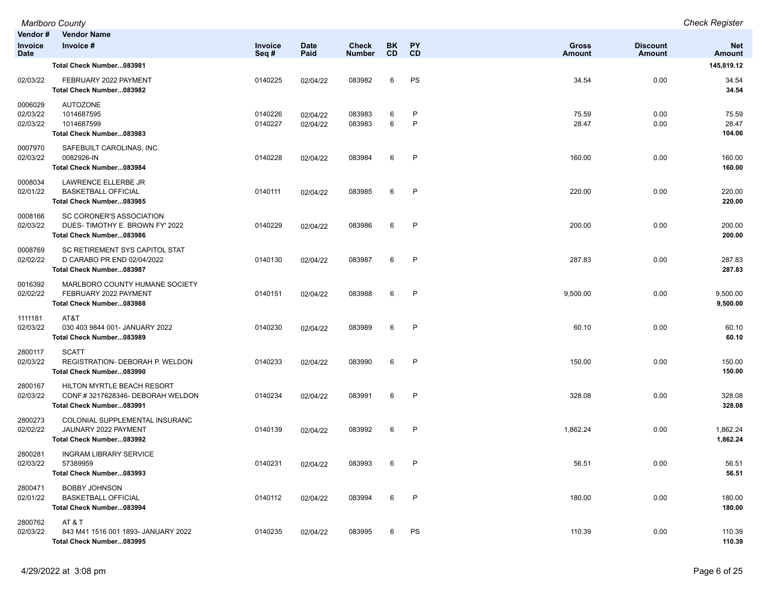| Vendor#<br>Invoice<br><b>Date</b> | <b>Vendor Name</b><br>Invoice #                                                           | Invoice<br>Seq#    | <b>Date</b><br>Paid  | <b>Check</b><br>Number | BK<br><b>CD</b> | PY<br>CD          | <b>Gross</b><br>Amount | <b>Discount</b><br><b>Amount</b> | <b>Net</b><br><b>Amount</b> |
|-----------------------------------|-------------------------------------------------------------------------------------------|--------------------|----------------------|------------------------|-----------------|-------------------|------------------------|----------------------------------|-----------------------------|
|                                   | Total Check Number083981                                                                  |                    |                      |                        |                 |                   |                        |                                  | 145,819.12                  |
| 02/03/22                          | FEBRUARY 2022 PAYMENT<br>Total Check Number083982                                         | 0140225            | 02/04/22             | 083982                 | 6               | PS                | 34.54                  | 0.00                             | 34.54<br>34.54              |
| 0006029<br>02/03/22<br>02/03/22   | <b>AUTOZONE</b><br>1014687595<br>1014687599<br>Total Check Number083983                   | 0140226<br>0140227 | 02/04/22<br>02/04/22 | 083983<br>083983       | 6<br>6          | P<br>$\mathsf{P}$ | 75.59<br>28.47         | 0.00<br>0.00                     | 75.59<br>28.47<br>104.06    |
| 0007970<br>02/03/22               | SAFEBUILT CAROLINAS, INC.<br>0082926-IN<br>Total Check Number083984                       | 0140228            | 02/04/22             | 083984                 | 6               | P                 | 160.00                 | 0.00                             | 160.00<br>160.00            |
| 0008034<br>02/01/22               | LAWRENCE ELLERBE JR<br><b>BASKETBALL OFFICIAL</b><br>Total Check Number083985             | 0140111            | 02/04/22             | 083985                 | 6               | P                 | 220.00                 | 0.00                             | 220.00<br>220.00            |
| 0008166<br>02/03/22               | SC CORONER'S ASSOCIATION<br>DUES-TIMOTHY E. BROWN FY' 2022<br>Total Check Number083986    | 0140229            | 02/04/22             | 083986                 | 6               | P                 | 200.00                 | 0.00                             | 200.00<br>200.00            |
| 0008769<br>02/02/22               | SC RETIREMENT SYS CAPITOL STAT<br>D CARABO PR END 02/04/2022<br>Total Check Number083987  | 0140130            | 02/04/22             | 083987                 | 6               | P                 | 287.83                 | 0.00                             | 287.83<br>287.83            |
| 0016392<br>02/02/22               | MARLBORO COUNTY HUMANE SOCIETY<br>FEBRUARY 2022 PAYMENT<br>Total Check Number083988       | 0140151            | 02/04/22             | 083988                 | 6               | P                 | 9,500.00               | 0.00                             | 9,500.00<br>9,500.00        |
| 1111181<br>02/03/22               | AT&T<br>030 403 9844 001- JANUARY 2022<br>Total Check Number083989                        | 0140230            | 02/04/22             | 083989                 | 6               | P                 | 60.10                  | 0.00                             | 60.10<br>60.10              |
| 2800117<br>02/03/22               | <b>SCATT</b><br>REGISTRATION- DEBORAH P. WELDON<br>Total Check Number083990               | 0140233            | 02/04/22             | 083990                 | 6               | $\mathsf{P}$      | 150.00                 | 0.00                             | 150.00<br>150.00            |
| 2800167<br>02/03/22               | HILTON MYRTLE BEACH RESORT<br>CONF.#3217628346-DEBORAH WELDON<br>Total Check Number083991 | 0140234            | 02/04/22             | 083991                 | 6               | P                 | 328.08                 | 0.00                             | 328.08<br>328.08            |
| 2800273<br>02/02/22               | COLONIAL SUPPLEMENTAL INSURANC<br>JAUNARY 2022 PAYMENT<br>Total Check Number083992        | 0140139            | 02/04/22             | 083992                 | 6               | P                 | 1,862.24               | 0.00                             | 1,862.24<br>1,862.24        |
| 2800281<br>02/03/22               | <b>INGRAM LIBRARY SERVICE</b><br>57389959<br>Total Check Number083993                     | 0140231            | 02/04/22             | 083993                 | 6               | P                 | 56.51                  | 0.00                             | 56.51<br>56.51              |
| 2800471<br>02/01/22               | <b>BOBBY JOHNSON</b><br><b>BASKETBALL OFFICIAL</b><br>Total Check Number083994            | 0140112            | 02/04/22             | 083994                 | 6               | P                 | 180.00                 | 0.00                             | 180.00<br>180.00            |
| 2800762<br>02/03/22               | AT&T<br>843 M41 1516 001 1893- JANUARY 2022<br>Total Check Number083995                   | 0140235            | 02/04/22             | 083995                 | 6               | PS                | 110.39                 | 0.00                             | 110.39<br>110.39            |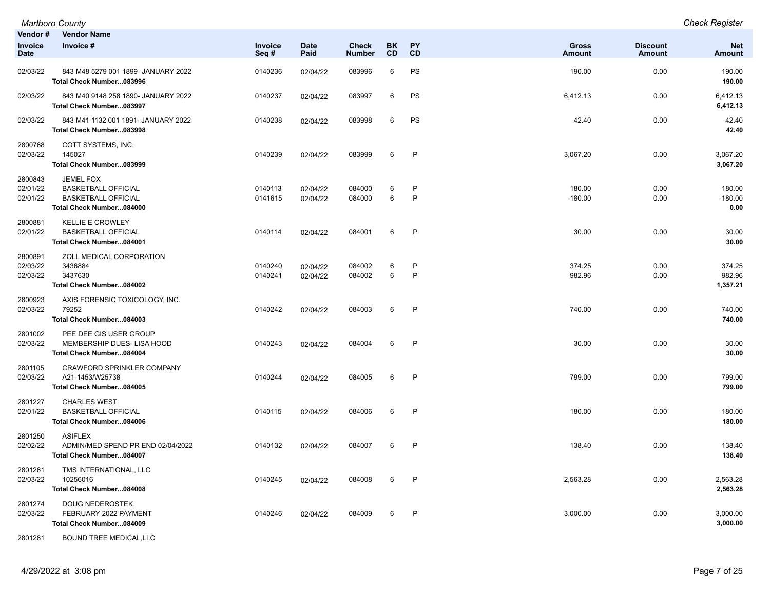| Vendor#<br>Invoice<br><b>Date</b> | <b>Vendor Name</b><br>Invoice #                                                                   | <b>Invoice</b><br>Seq# | <b>Date</b><br>Paid  | Check<br>Number  | BK<br>CD | <b>PY</b><br>CD | <b>Gross</b><br><b>Amount</b> | <b>Discount</b><br><b>Amount</b> | <b>Net</b><br><b>Amount</b>  |
|-----------------------------------|---------------------------------------------------------------------------------------------------|------------------------|----------------------|------------------|----------|-----------------|-------------------------------|----------------------------------|------------------------------|
| 02/03/22                          | 843 M48 5279 001 1899- JANUARY 2022<br>Total Check Number083996                                   | 0140236                | 02/04/22             | 083996           | 6        | PS              | 190.00                        | 0.00                             | 190.00<br>190.00             |
| 02/03/22                          | 843 M40 9148 258 1890- JANUARY 2022<br>Total Check Number083997                                   | 0140237                | 02/04/22             | 083997           | 6        | PS              | 6,412.13                      | 0.00                             | 6,412.13<br>6,412.13         |
| 02/03/22                          | 843 M41 1132 001 1891- JANUARY 2022<br>Total Check Number083998                                   | 0140238                | 02/04/22             | 083998           | 6        | PS              | 42.40                         | 0.00                             | 42.40<br>42.40               |
| 2800768<br>02/03/22               | COTT SYSTEMS, INC.<br>145027<br>Total Check Number083999                                          | 0140239                | 02/04/22             | 083999           | 6        | P               | 3,067.20                      | 0.00                             | 3,067.20<br>3,067.20         |
| 2800843<br>02/01/22<br>02/01/22   | JEMEL FOX<br><b>BASKETBALL OFFICIAL</b><br><b>BASKETBALL OFFICIAL</b><br>Total Check Number084000 | 0140113<br>0141615     | 02/04/22<br>02/04/22 | 084000<br>084000 | 6<br>6   | P<br>$\sf P$    | 180.00<br>$-180.00$           | 0.00<br>0.00                     | 180.00<br>$-180.00$<br>0.00  |
| 2800881<br>02/01/22               | <b>KELLIE E CROWLEY</b><br><b>BASKETBALL OFFICIAL</b><br>Total Check Number084001                 | 0140114                | 02/04/22             | 084001           | 6        | P               | 30.00                         | 0.00                             | 30.00<br>30.00               |
| 2800891<br>02/03/22<br>02/03/22   | ZOLL MEDICAL CORPORATION<br>3436884<br>3437630<br>Total Check Number084002                        | 0140240<br>0140241     | 02/04/22<br>02/04/22 | 084002<br>084002 | 6<br>6   | P<br>P          | 374.25<br>982.96              | 0.00<br>0.00                     | 374.25<br>982.96<br>1,357.21 |
| 2800923<br>02/03/22               | AXIS FORENSIC TOXICOLOGY, INC.<br>79252<br>Total Check Number084003                               | 0140242                | 02/04/22             | 084003           | 6        | P               | 740.00                        | 0.00                             | 740.00<br>740.00             |
| 2801002<br>02/03/22               | PEE DEE GIS USER GROUP<br>MEMBERSHIP DUES- LISA HOOD<br>Total Check Number084004                  | 0140243                | 02/04/22             | 084004           | 6        | P               | 30.00                         | 0.00                             | 30.00<br>30.00               |
| 2801105<br>02/03/22               | CRAWFORD SPRINKLER COMPANY<br>A21-1453/W25738<br>Total Check Number084005                         | 0140244                | 02/04/22             | 084005           | 6        | P               | 799.00                        | 0.00                             | 799.00<br>799.00             |
| 2801227<br>02/01/22               | <b>CHARLES WEST</b><br><b>BASKETBALL OFFICIAL</b><br>Total Check Number084006                     | 0140115                | 02/04/22             | 084006           | 6        | P               | 180.00                        | 0.00                             | 180.00<br>180.00             |
| 2801250<br>02/02/22               | <b>ASIFLEX</b><br>ADMIN/MED SPEND PR END 02/04/2022<br>Total Check Number084007                   | 0140132                | 02/04/22             | 084007           | 6        | P               | 138.40                        | 0.00                             | 138.40<br>138.40             |
| 2801261<br>02/03/22               | TMS INTERNATIONAL, LLC<br>10256016<br>Total Check Number084008                                    | 0140245                | 02/04/22             | 084008           | 6        | P               | 2,563.28                      | 0.00                             | 2.563.28<br>2,563.28         |
| 2801274<br>02/03/22               | <b>DOUG NEDEROSTEK</b><br>FEBRUARY 2022 PAYMENT<br>Total Check Number084009                       | 0140246                | 02/04/22             | 084009           | 6        | P               | 3,000.00                      | 0.00                             | 3,000.00<br>3,000.00         |

2801281 BOUND TREE MEDICAL,LLC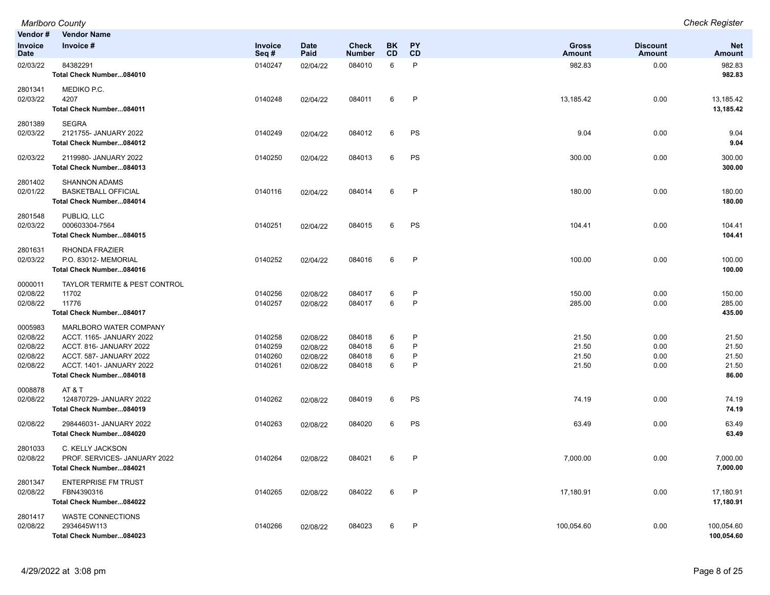| Vendor#                                                 | <b>Vendor Name</b>                                                                                                                                               |                                          |                                              |                                      |                        |                  |                                  |                                  |                                           |
|---------------------------------------------------------|------------------------------------------------------------------------------------------------------------------------------------------------------------------|------------------------------------------|----------------------------------------------|--------------------------------------|------------------------|------------------|----------------------------------|----------------------------------|-------------------------------------------|
| <b>Invoice</b><br><b>Date</b>                           | Invoice #                                                                                                                                                        | Invoice<br>Seq#                          | <b>Date</b><br>Paid                          | <b>Check</b><br>Number               | <b>BK</b><br><b>CD</b> | PY<br>CD         | <b>Gross</b><br>Amount           | <b>Discount</b><br><b>Amount</b> | <b>Net</b><br><b>Amount</b>               |
| 02/03/22                                                | 84382291<br>Total Check Number084010                                                                                                                             | 0140247                                  | 02/04/22                                     | 084010                               | 6                      | P                | 982.83                           | 0.00                             | 982.83<br>982.83                          |
| 2801341<br>02/03/22                                     | MEDIKO P.C.<br>4207<br>Total Check Number084011                                                                                                                  | 0140248                                  | 02/04/22                                     | 084011                               | 6                      | P                | 13,185.42                        | 0.00                             | 13,185.42<br>13,185.42                    |
| 2801389<br>02/03/22                                     | <b>SEGRA</b><br>2121755- JANUARY 2022<br>Total Check Number084012                                                                                                | 0140249                                  | 02/04/22                                     | 084012                               | 6                      | PS               | 9.04                             | 0.00                             | 9.04<br>9.04                              |
| 02/03/22                                                | 2119980- JANUARY 2022<br>Total Check Number084013                                                                                                                | 0140250                                  | 02/04/22                                     | 084013                               | 6                      | PS               | 300.00                           | 0.00                             | 300.00<br>300.00                          |
| 2801402<br>02/01/22                                     | <b>SHANNON ADAMS</b><br><b>BASKETBALL OFFICIAL</b><br>Total Check Number084014                                                                                   | 0140116                                  | 02/04/22                                     | 084014                               | 6                      | P                | 180.00                           | 0.00                             | 180.00<br>180.00                          |
| 2801548<br>02/03/22                                     | PUBLIQ, LLC<br>000603304-7564<br>Total Check Number084015                                                                                                        | 0140251                                  | 02/04/22                                     | 084015                               | 6                      | PS               | 104.41                           | 0.00                             | 104.41<br>104.41                          |
| 2801631<br>02/03/22                                     | <b>RHONDA FRAZIER</b><br>P.O. 83012- MEMORIAL<br>Total Check Number084016                                                                                        | 0140252                                  | 02/04/22                                     | 084016                               | 6                      | P                | 100.00                           | 0.00                             | 100.00<br>100.00                          |
| 0000011<br>02/08/22<br>02/08/22                         | TAYLOR TERMITE & PEST CONTROL<br>11702<br>11776<br>Total Check Number084017                                                                                      | 0140256<br>0140257                       | 02/08/22<br>02/08/22                         | 084017<br>084017                     | 6<br>6                 | P<br>P           | 150.00<br>285.00                 | 0.00<br>0.00                     | 150.00<br>285.00<br>435.00                |
| 0005983<br>02/08/22<br>02/08/22<br>02/08/22<br>02/08/22 | MARLBORO WATER COMPANY<br>ACCT. 1165- JANUARY 2022<br>ACCT. 816- JANUARY 2022<br>ACCT. 587- JANUARY 2022<br>ACCT. 1401- JANUARY 2022<br>Total Check Number084018 | 0140258<br>0140259<br>0140260<br>0140261 | 02/08/22<br>02/08/22<br>02/08/22<br>02/08/22 | 084018<br>084018<br>084018<br>084018 | 6<br>6<br>6<br>6       | P<br>P<br>P<br>P | 21.50<br>21.50<br>21.50<br>21.50 | 0.00<br>0.00<br>0.00<br>0.00     | 21.50<br>21.50<br>21.50<br>21.50<br>86.00 |
| 0008878<br>02/08/22                                     | AT & T<br>124870729- JANUARY 2022<br>Total Check Number084019                                                                                                    | 0140262                                  | 02/08/22                                     | 084019                               | 6                      | PS               | 74.19                            | 0.00                             | 74.19<br>74.19                            |
| 02/08/22                                                | 298446031- JANUARY 2022<br>Total Check Number084020                                                                                                              | 0140263                                  | 02/08/22                                     | 084020                               | 6                      | PS               | 63.49                            | 0.00                             | 63.49<br>63.49                            |
| 2801033<br>02/08/22                                     | C. KELLY JACKSON<br>PROF. SERVICES- JANUARY 2022<br>Total Check Number084021                                                                                     | 0140264                                  | 02/08/22                                     | 084021                               | 6                      | P                | 7,000.00                         | 0.00                             | 7,000.00<br>7,000.00                      |
| 2801347<br>02/08/22                                     | <b>ENTERPRISE FM TRUST</b><br>FBN4390316<br>Total Check Number084022                                                                                             | 0140265                                  | 02/08/22                                     | 084022                               | 6                      | P                | 17,180.91                        | 0.00                             | 17,180.91<br>17,180.91                    |
| 2801417<br>02/08/22                                     | <b>WASTE CONNECTIONS</b><br>2934645W113<br>Total Check Number084023                                                                                              | 0140266                                  | 02/08/22                                     | 084023                               | 6                      | P                | 100,054.60                       | 0.00                             | 100,054.60<br>100,054.60                  |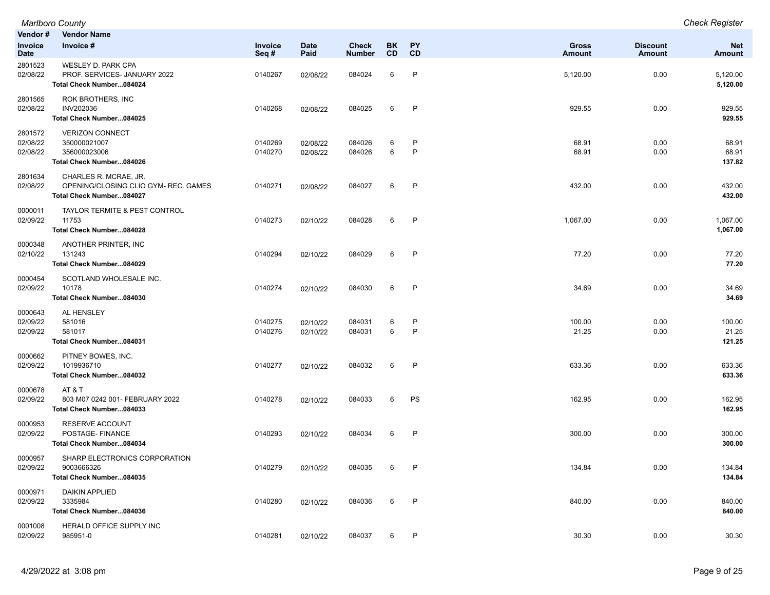|                                 | <b>Marlboro County</b>                                                                    |                    |                      |                               |                        |                        |                               |                                  | <b>Check Register</b>       |
|---------------------------------|-------------------------------------------------------------------------------------------|--------------------|----------------------|-------------------------------|------------------------|------------------------|-------------------------------|----------------------------------|-----------------------------|
| Vendor #                        | <b>Vendor Name</b>                                                                        |                    |                      |                               |                        |                        |                               |                                  |                             |
| Invoice<br>Date                 | Invoice #                                                                                 | Invoice<br>Seq#    | <b>Date</b><br>Paid  | <b>Check</b><br><b>Number</b> | <b>BK</b><br><b>CD</b> | <b>PY</b><br><b>CD</b> | <b>Gross</b><br><b>Amount</b> | <b>Discount</b><br><b>Amount</b> | <b>Net</b><br><b>Amount</b> |
| 2801523<br>02/08/22             | WESLEY D. PARK CPA<br>PROF. SERVICES- JANUARY 2022<br>Total Check Number084024            | 0140267            | 02/08/22             | 084024                        | 6                      | $\mathsf{P}$           | 5,120.00                      | 0.00                             | 5,120.00<br>5,120.00        |
| 2801565<br>02/08/22             | ROK BROTHERS, INC<br>INV202036<br>Total Check Number084025                                | 0140268            | 02/08/22             | 084025                        | 6                      | P                      | 929.55                        | 0.00                             | 929.55<br>929.55            |
| 2801572<br>02/08/22<br>02/08/22 | <b>VERIZON CONNECT</b><br>350000021007<br>356000023006<br>Total Check Number084026        | 0140269<br>0140270 | 02/08/22<br>02/08/22 | 084026<br>084026              | 6<br>6                 | P<br>$\mathsf{P}$      | 68.91<br>68.91                | 0.00<br>0.00                     | 68.91<br>68.91<br>137.82    |
| 2801634<br>02/08/22             | CHARLES R. MCRAE, JR.<br>OPENING/CLOSING CLIO GYM- REC. GAMES<br>Total Check Number084027 | 0140271            | 02/08/22             | 084027                        | 6                      | $\mathsf{P}$           | 432.00                        | 0.00                             | 432.00<br>432.00            |
| 0000011<br>02/09/22             | <b>TAYLOR TERMITE &amp; PEST CONTROL</b><br>11753<br>Total Check Number084028             | 0140273            | 02/10/22             | 084028                        | 6                      | $\mathsf{P}$           | 1,067.00                      | 0.00                             | 1,067.00<br>1,067.00        |
| 0000348<br>02/10/22             | ANOTHER PRINTER, INC<br>131243<br>Total Check Number084029                                | 0140294            | 02/10/22             | 084029                        | 6                      | P                      | 77.20                         | 0.00                             | 77.20<br>77.20              |
| 0000454<br>02/09/22             | SCOTLAND WHOLESALE INC.<br>10178<br>Total Check Number084030                              | 0140274            | 02/10/22             | 084030                        | 6                      | P                      | 34.69                         | 0.00                             | 34.69<br>34.69              |
| 0000643<br>02/09/22<br>02/09/22 | AL HENSLEY<br>581016<br>581017<br>Total Check Number084031                                | 0140275<br>0140276 | 02/10/22<br>02/10/22 | 084031<br>084031              | 6<br>6                 | P<br>P                 | 100.00<br>21.25               | 0.00<br>0.00                     | 100.00<br>21.25<br>121.25   |
| 0000662<br>02/09/22             | PITNEY BOWES, INC.<br>1019936710<br>Total Check Number084032                              | 0140277            | 02/10/22             | 084032                        | 6                      | $\mathsf{P}$           | 633.36                        | 0.00                             | 633.36<br>633.36            |
| 0000678<br>02/09/22             | AT&T<br>803 M07 0242 001- FEBRUARY 2022<br>Total Check Number084033                       | 0140278            | 02/10/22             | 084033                        | 6                      | PS                     | 162.95                        | 0.00                             | 162.95<br>162.95            |
| 0000953<br>02/09/22             | RESERVE ACCOUNT<br>POSTAGE- FINANCE<br>Total Check Number084034                           | 0140293            | 02/10/22             | 084034                        | 6                      | P                      | 300.00                        | 0.00                             | 300.00<br>300.00            |
| 0000957<br>02/09/22             | SHARP ELECTRONICS CORPORATION<br>9003666326<br>Total Check Number084035                   | 0140279            | 02/10/22             | 084035                        | 6                      | P                      | 134.84                        | 0.00                             | 134.84<br>134.84            |
| 0000971<br>02/09/22             | DAIKIN APPLIED<br>3335984<br>Total Check Number084036                                     | 0140280            | 02/10/22             | 084036                        | 6                      | P                      | 840.00                        | 0.00                             | 840.00<br>840.00            |
| 0001008<br>02/09/22             | HERALD OFFICE SUPPLY INC<br>985951-0                                                      | 0140281            | 02/10/22             | 084037                        | 6                      | P                      | 30.30                         | 0.00                             | 30.30                       |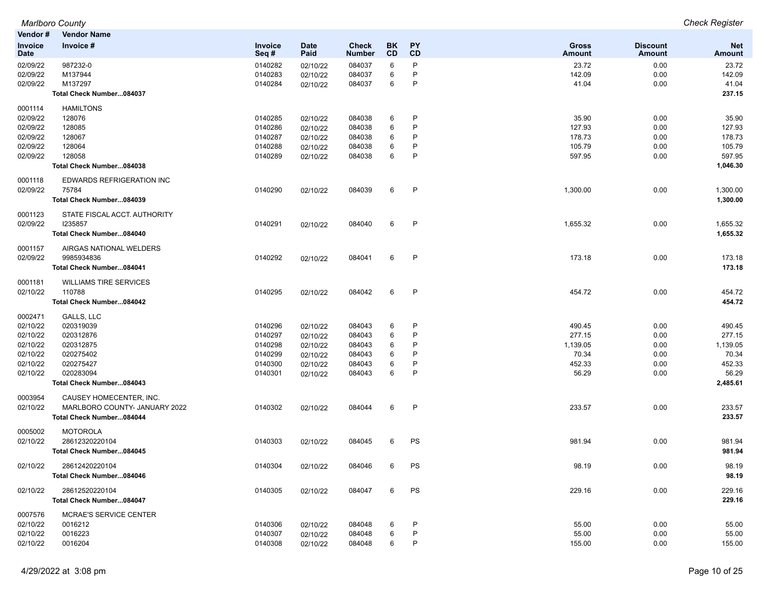|                        | <b>Marlboro County</b>        |                    |                     |                               |                 |              |                               |                                  | <b>Check Register</b>       |
|------------------------|-------------------------------|--------------------|---------------------|-------------------------------|-----------------|--------------|-------------------------------|----------------------------------|-----------------------------|
| Vendor#                | <b>Vendor Name</b>            |                    |                     |                               |                 |              |                               |                                  |                             |
| Invoice<br><b>Date</b> | Invoice #                     | Invoice<br>Seq#    | <b>Date</b><br>Paid | <b>Check</b><br><b>Number</b> | BK<br><b>CD</b> | PY<br>CD     | <b>Gross</b><br><b>Amount</b> | <b>Discount</b><br><b>Amount</b> | <b>Net</b><br><b>Amount</b> |
| 02/09/22               | 987232-0                      | 0140282            | 02/10/22            | 084037                        | 6               | P            | 23.72                         | 0.00                             | 23.72                       |
| 02/09/22               | M137944                       | 0140283            | 02/10/22            | 084037                        | 6               | $\mathsf{P}$ | 142.09                        | 0.00                             | 142.09                      |
| 02/09/22               | M137297                       | 0140284            | 02/10/22            | 084037                        | 6               | P            | 41.04                         | 0.00                             | 41.04                       |
|                        | Total Check Number084037      |                    |                     |                               |                 |              |                               |                                  | 237.15                      |
| 0001114                | <b>HAMILTONS</b>              |                    |                     |                               |                 |              |                               |                                  |                             |
| 02/09/22               | 128076                        | 0140285            | 02/10/22            | 084038                        | 6               | $\mathsf{P}$ | 35.90                         | 0.00                             | 35.90                       |
| 02/09/22               | 128085                        | 0140286            | 02/10/22            | 084038                        | 6               | $\mathsf{P}$ | 127.93                        | 0.00                             | 127.93                      |
| 02/09/22               | 128067                        | 0140287            | 02/10/22            | 084038                        | 6               | P            | 178.73                        | 0.00                             | 178.73                      |
| 02/09/22               | 128064                        | 0140288            | 02/10/22            | 084038                        | 6               | P            | 105.79                        | 0.00                             | 105.79                      |
| 02/09/22               | 128058                        | 0140289            | 02/10/22            | 084038                        | 6               | P            | 597.95                        | 0.00                             | 597.95                      |
|                        | Total Check Number084038      |                    |                     |                               |                 |              |                               |                                  | 1,046.30                    |
| 0001118                | EDWARDS REFRIGERATION INC     |                    |                     |                               |                 |              |                               |                                  |                             |
| 02/09/22               | 75784                         | 0140290            | 02/10/22            | 084039                        | 6               | P            | 1,300.00                      | 0.00                             | 1,300.00                    |
|                        | Total Check Number084039      |                    |                     |                               |                 |              |                               |                                  | 1,300.00                    |
| 0001123                | STATE FISCAL ACCT. AUTHORITY  |                    |                     |                               |                 |              |                               |                                  |                             |
| 02/09/22               | 1235857                       | 0140291            | 02/10/22            | 084040                        | 6               | $\mathsf{P}$ | 1,655.32                      | 0.00                             | 1,655.32                    |
|                        | Total Check Number084040      |                    |                     |                               |                 |              |                               |                                  | 1,655.32                    |
| 0001157                | AIRGAS NATIONAL WELDERS       |                    |                     |                               |                 |              |                               |                                  |                             |
| 02/09/22               | 9985934836                    | 0140292            | 02/10/22            | 084041                        | 6               | $\mathsf{P}$ | 173.18                        | 0.00                             | 173.18                      |
|                        | Total Check Number084041      |                    |                     |                               |                 |              |                               |                                  | 173.18                      |
| 0001181                | <b>WILLIAMS TIRE SERVICES</b> |                    |                     |                               |                 |              |                               |                                  |                             |
| 02/10/22               | 110788                        | 0140295            | 02/10/22            | 084042                        | 6               | $\mathsf{P}$ | 454.72                        | 0.00                             | 454.72                      |
|                        | Total Check Number084042      |                    |                     |                               |                 |              |                               |                                  | 454.72                      |
| 0002471                | GALLS, LLC                    |                    |                     |                               |                 |              |                               |                                  |                             |
| 02/10/22               | 020319039                     | 0140296            | 02/10/22            | 084043                        | 6               | $\mathsf{P}$ | 490.45                        | 0.00                             | 490.45                      |
| 02/10/22               | 020312876                     | 0140297            | 02/10/22            | 084043                        | 6               | P            | 277.15                        | 0.00                             | 277.15                      |
| 02/10/22               | 020312875                     | 0140298            | 02/10/22            | 084043                        | 6               | P<br>P       | 1,139.05<br>70.34             | 0.00                             | 1,139.05<br>70.34           |
| 02/10/22               | 020275402<br>020275427        | 0140299            | 02/10/22            | 084043                        | 6               | P            |                               | 0.00                             |                             |
| 02/10/22<br>02/10/22   | 020283094                     | 0140300<br>0140301 | 02/10/22            | 084043                        | 6<br>6          | P            | 452.33<br>56.29               | 0.00                             | 452.33<br>56.29             |
|                        | Total Check Number084043      |                    | 02/10/22            | 084043                        |                 |              |                               | 0.00                             | 2,485.61                    |
|                        | CAUSEY HOMECENTER. INC.       |                    |                     |                               |                 |              |                               |                                  |                             |
| 0003954                | MARLBORO COUNTY- JANUARY 2022 |                    |                     | 084044                        | 6               | $\mathsf{P}$ |                               |                                  |                             |
| 02/10/22               | Total Check Number084044      | 0140302            | 02/10/22            |                               |                 |              | 233.57                        | 0.00                             | 233.57<br>233.57            |
| 0005002                | <b>MOTOROLA</b>               |                    |                     |                               |                 |              |                               |                                  |                             |
| 02/10/22               | 28612320220104                | 0140303            |                     | 084045                        | 6               | PS           |                               | 0.00                             | 981.94                      |
|                        | Total Check Number084045      |                    | 02/10/22            |                               |                 |              | 981.94                        |                                  | 981.94                      |
|                        |                               |                    |                     |                               |                 |              |                               |                                  |                             |
| 02/10/22               | 28612420220104                | 0140304            | 02/10/22            | 084046                        | 6               | PS           | 98.19                         | 0.00                             | 98.19                       |
|                        | Total Check Number084046      |                    |                     |                               |                 |              |                               |                                  | 98.19                       |
| 02/10/22               | 28612520220104                | 0140305            | 02/10/22            | 084047                        | 6               | PS           | 229.16                        | 0.00                             | 229.16                      |
|                        | Total Check Number084047      |                    |                     |                               |                 |              |                               |                                  | 229.16                      |
| 0007576                | MCRAE'S SERVICE CENTER        |                    |                     |                               |                 |              |                               |                                  |                             |
| 02/10/22               | 0016212                       | 0140306            | 02/10/22            | 084048                        | 6               | P            | 55.00                         | 0.00                             | 55.00                       |
| 02/10/22               | 0016223                       | 0140307            | 02/10/22            | 084048                        | 6               | P<br>P       | 55.00                         | 0.00                             | 55.00                       |
| 02/10/22               | 0016204                       | 0140308            | 02/10/22            | 084048                        | 6               |              | 155.00                        | 0.00                             | 155.00                      |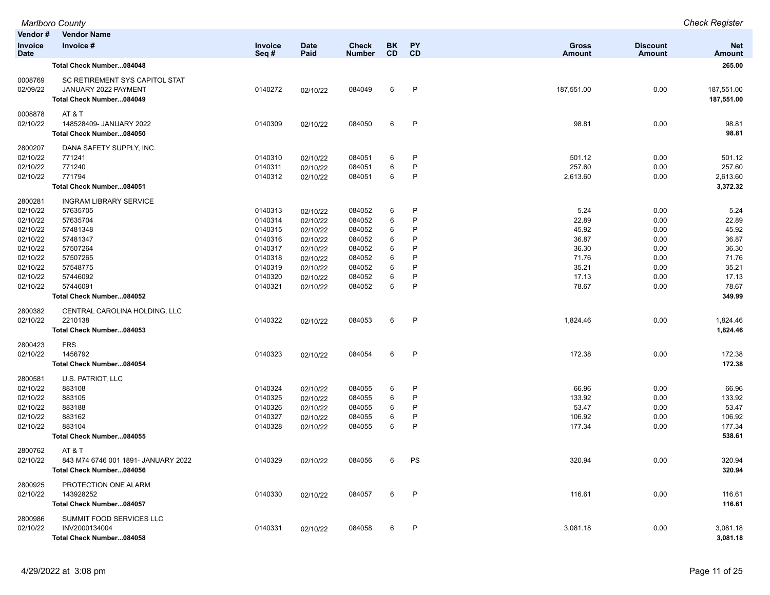|                               | <b>Marlboro County</b>              |                    |                      |                               |                 |              |                               |                                  | <b>Check Register</b>       |
|-------------------------------|-------------------------------------|--------------------|----------------------|-------------------------------|-----------------|--------------|-------------------------------|----------------------------------|-----------------------------|
| Vendor#                       | <b>Vendor Name</b>                  |                    |                      |                               |                 |              |                               |                                  |                             |
| <b>Invoice</b><br><b>Date</b> | Invoice #                           | Invoice<br>Seq#    | Date<br>Paid         | <b>Check</b><br><b>Number</b> | BK<br><b>CD</b> | PY<br>CD     | <b>Gross</b><br><b>Amount</b> | <b>Discount</b><br><b>Amount</b> | <b>Net</b><br><b>Amount</b> |
|                               | Total Check Number084048            |                    |                      |                               |                 |              |                               |                                  | 265.00                      |
| 0008769                       | SC RETIREMENT SYS CAPITOL STAT      |                    |                      |                               |                 |              |                               |                                  |                             |
| 02/09/22                      | JANUARY 2022 PAYMENT                | 0140272            | 02/10/22             | 084049                        | 6               | P            | 187,551.00                    | 0.00                             | 187,551.00                  |
|                               | Total Check Number084049            |                    |                      |                               |                 |              |                               |                                  | 187,551.00                  |
| 0008878                       | AT&T                                |                    |                      |                               |                 |              |                               |                                  |                             |
| 02/10/22                      | 148528409- JANUARY 2022             | 0140309            | 02/10/22             | 084050                        | 6               | $\mathsf{P}$ | 98.81                         | 0.00                             | 98.81                       |
|                               | Total Check Number084050            |                    |                      |                               |                 |              |                               |                                  | 98.81                       |
| 2800207                       | DANA SAFETY SUPPLY, INC.            |                    |                      |                               |                 |              |                               |                                  |                             |
| 02/10/22                      | 771241                              | 0140310            | 02/10/22             | 084051                        | 6               | P            | 501.12                        | 0.00                             | 501.12                      |
| 02/10/22                      | 771240                              | 0140311            | 02/10/22             | 084051                        | 6               | P            | 257.60                        | 0.00                             | 257.60                      |
| 02/10/22                      | 771794                              | 0140312            | 02/10/22             | 084051                        | 6               | P            | 2,613.60                      | 0.00                             | 2,613.60<br>3,372.32        |
|                               | Total Check Number084051            |                    |                      |                               |                 |              |                               |                                  |                             |
| 2800281                       | <b>INGRAM LIBRARY SERVICE</b>       |                    |                      |                               |                 |              |                               |                                  |                             |
| 02/10/22                      | 57635705                            | 0140313            | 02/10/22             | 084052                        | 6               | P            | 5.24                          | 0.00                             | 5.24                        |
| 02/10/22                      | 57635704                            | 0140314            | 02/10/22             | 084052                        | 6               | P            | 22.89                         | 0.00                             | 22.89                       |
| 02/10/22                      | 57481348                            | 0140315            | 02/10/22             | 084052                        | 6               | P            | 45.92                         | 0.00                             | 45.92                       |
| 02/10/22                      | 57481347                            | 0140316            | 02/10/22             | 084052                        | 6               | P            | 36.87                         | 0.00                             | 36.87                       |
| 02/10/22<br>02/10/22          | 57507264                            | 0140317            | 02/10/22             | 084052                        | 6               | P<br>P       | 36.30                         | 0.00                             | 36.30                       |
|                               | 57507265                            | 0140318            | 02/10/22             | 084052                        | 6               | P            | 71.76<br>35.21                | 0.00                             | 71.76<br>35.21              |
| 02/10/22<br>02/10/22          | 57548775<br>57446092                | 0140319<br>0140320 | 02/10/22<br>02/10/22 | 084052<br>084052              | 6<br>6          | P            | 17.13                         | 0.00<br>0.00                     | 17.13                       |
| 02/10/22                      | 57446091                            | 0140321            | 02/10/22             | 084052                        | 6               | P            | 78.67                         | 0.00                             | 78.67                       |
|                               | Total Check Number084052            |                    |                      |                               |                 |              |                               |                                  | 349.99                      |
| 2800382                       | CENTRAL CAROLINA HOLDING, LLC       |                    |                      |                               |                 |              |                               |                                  |                             |
| 02/10/22                      | 2210138                             | 0140322            | 02/10/22             | 084053                        | 6               | $\mathsf{P}$ | 1,824.46                      | 0.00                             | 1,824.46                    |
|                               | Total Check Number084053            |                    |                      |                               |                 |              |                               |                                  | 1,824.46                    |
| 2800423                       | <b>FRS</b>                          |                    |                      |                               |                 |              |                               |                                  |                             |
| 02/10/22                      | 1456792                             | 0140323            | 02/10/22             | 084054                        | 6               | $\mathsf{P}$ | 172.38                        | 0.00                             | 172.38                      |
|                               | Total Check Number084054            |                    |                      |                               |                 |              |                               |                                  | 172.38                      |
| 2800581                       | U.S. PATRIOT, LLC                   |                    |                      |                               |                 |              |                               |                                  |                             |
| 02/10/22                      | 883108                              | 0140324            | 02/10/22             | 084055                        | 6               | P            | 66.96                         | 0.00                             | 66.96                       |
| 02/10/22                      | 883105                              | 0140325            | 02/10/22             | 084055                        | 6               | P            | 133.92                        | 0.00                             | 133.92                      |
| 02/10/22                      | 883188                              | 0140326            | 02/10/22             | 084055                        | 6               | P            | 53.47                         | 0.00                             | 53.47                       |
| 02/10/22                      | 883162                              | 0140327            | 02/10/22             | 084055                        | 6               | P            | 106.92                        | 0.00                             | 106.92                      |
| 02/10/22                      | 883104                              | 0140328            | 02/10/22             | 084055                        | 6               | P            | 177.34                        | 0.00                             | 177.34                      |
|                               | Total Check Number084055            |                    |                      |                               |                 |              |                               |                                  | 538.61                      |
| 2800762                       | AT&T                                |                    |                      |                               |                 |              |                               |                                  |                             |
| 02/10/22                      | 843 M74 6746 001 1891- JANUARY 2022 | 0140329            | 02/10/22             | 084056                        | 6               | PS           | 320.94                        | 0.00                             | 320.94                      |
|                               | Total Check Number084056            |                    |                      |                               |                 |              |                               |                                  | 320.94                      |
| 2800925                       | PROTECTION ONE ALARM                |                    |                      |                               |                 |              |                               |                                  |                             |
| 02/10/22                      | 143928252                           | 0140330            | 02/10/22             | 084057                        | 6               | P            | 116.61                        | 0.00                             | 116.61                      |
|                               | Total Check Number084057            |                    |                      |                               |                 |              |                               |                                  | 116.61                      |
| 2800986                       | SUMMIT FOOD SERVICES LLC            |                    |                      |                               |                 |              |                               |                                  |                             |
| 02/10/22                      | INV2000134004                       | 0140331            | 02/10/22             | 084058                        | 6               | P            | 3,081.18                      | 0.00                             | 3,081.18                    |
|                               | Total Check Number084058            |                    |                      |                               |                 |              |                               |                                  | 3,081.18                    |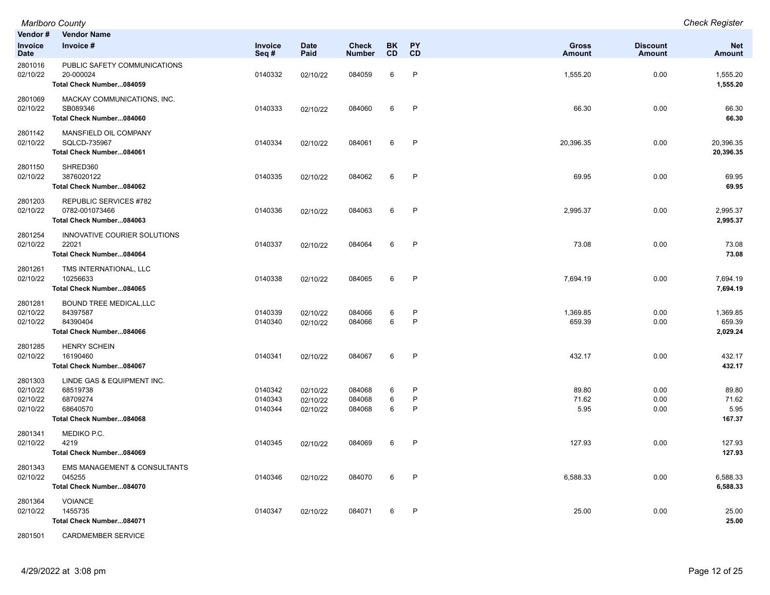| Vendor#                                     | <b>Vendor Name</b>                                                                         |                               |                                  |                            |                 |                   |                               |                                  |                                  |
|---------------------------------------------|--------------------------------------------------------------------------------------------|-------------------------------|----------------------------------|----------------------------|-----------------|-------------------|-------------------------------|----------------------------------|----------------------------------|
| Invoice<br><b>Date</b>                      | Invoice #                                                                                  | Invoice<br>Seq#               | <b>Date</b><br>Paid              | Check<br><b>Number</b>     | BK<br><b>CD</b> | <b>PY</b><br>CD   | <b>Gross</b><br><b>Amount</b> | <b>Discount</b><br><b>Amount</b> | <b>Net</b><br><b>Amount</b>      |
| 2801016<br>02/10/22                         | PUBLIC SAFETY COMMUNICATIONS<br>20-000024<br>Total Check Number084059                      | 0140332                       | 02/10/22                         | 084059                     | 6               | P                 | 1,555.20                      | 0.00                             | 1,555.20<br>1,555.20             |
| 2801069<br>02/10/22                         | MACKAY COMMUNICATIONS, INC.<br>SB089346<br>Total Check Number084060                        | 0140333                       | 02/10/22                         | 084060                     | 6               | P                 | 66.30                         | 0.00                             | 66.30<br>66.30                   |
| 2801142<br>02/10/22                         | MANSFIELD OIL COMPANY<br>SQLCD-735967<br>Total Check Number084061                          | 0140334                       | 02/10/22                         | 084061                     | 6               | $\mathsf{P}$      | 20,396.35                     | 0.00                             | 20,396.35<br>20,396.35           |
| 2801150<br>02/10/22                         | SHRED360<br>3876020122<br>Total Check Number084062                                         | 0140335                       | 02/10/22                         | 084062                     | 6               | $\mathsf{P}$      | 69.95                         | 0.00                             | 69.95<br>69.95                   |
| 2801203<br>02/10/22                         | <b>REPUBLIC SERVICES #782</b><br>0782-001073466<br>Total Check Number084063                | 0140336                       | 02/10/22                         | 084063                     | 6               | P                 | 2,995.37                      | 0.00                             | 2,995.37<br>2,995.37             |
| 2801254<br>02/10/22                         | INNOVATIVE COURIER SOLUTIONS<br>22021<br>Total Check Number084064                          | 0140337                       | 02/10/22                         | 084064                     | 6               | $\mathsf{P}$      | 73.08                         | 0.00                             | 73.08<br>73.08                   |
| 2801261<br>02/10/22                         | TMS INTERNATIONAL, LLC<br>10256633<br>Total Check Number084065                             | 0140338                       | 02/10/22                         | 084065                     | 6               | $\mathsf{P}$      | 7,694.19                      | 0.00                             | 7,694.19<br>7,694.19             |
| 2801281<br>02/10/22<br>02/10/22             | <b>BOUND TREE MEDICAL, LLC</b><br>84397587<br>84390404<br>Total Check Number084066         | 0140339<br>0140340            | 02/10/22<br>02/10/22             | 084066<br>084066           | 6<br>6          | $\mathsf{P}$<br>P | 1,369.85<br>659.39            | 0.00<br>0.00                     | 1,369.85<br>659.39<br>2,029.24   |
| 2801285<br>02/10/22                         | <b>HENRY SCHEIN</b><br>16190460<br>Total Check Number084067                                | 0140341                       | 02/10/22                         | 084067                     | 6               | P                 | 432.17                        | 0.00                             | 432.17<br>432.17                 |
| 2801303<br>02/10/22<br>02/10/22<br>02/10/22 | LINDE GAS & EQUIPMENT INC.<br>68519738<br>68709274<br>68640570<br>Total Check Number084068 | 0140342<br>0140343<br>0140344 | 02/10/22<br>02/10/22<br>02/10/22 | 084068<br>084068<br>084068 | 6<br>6<br>6     | P<br>P<br>P       | 89.80<br>71.62<br>5.95        | 0.00<br>0.00<br>0.00             | 89.80<br>71.62<br>5.95<br>167.37 |
| 2801341<br>02/10/22                         | MEDIKO P.C.<br>4219<br>Total Check Number084069                                            | 0140345                       | 02/10/22                         | 084069                     | 6               | $\mathsf{P}$      | 127.93                        | 0.00                             | 127.93<br>127.93                 |
| 2801343<br>02/10/22                         | <b>EMS MANAGEMENT &amp; CONSULTANTS</b><br>045255<br>Total Check Number084070              | 0140346                       | 02/10/22                         | 084070                     | 6               | P                 | 6,588.33                      | 0.00                             | 6,588.33<br>6,588.33             |
| 2801364<br>02/10/22                         | <b>VOIANCE</b><br>1455735<br>Total Check Number084071                                      | 0140347                       | 02/10/22                         | 084071                     | 6               | P                 | 25.00                         | 0.00                             | 25.00<br>25.00                   |

2801501 CARDMEMBER SERVICE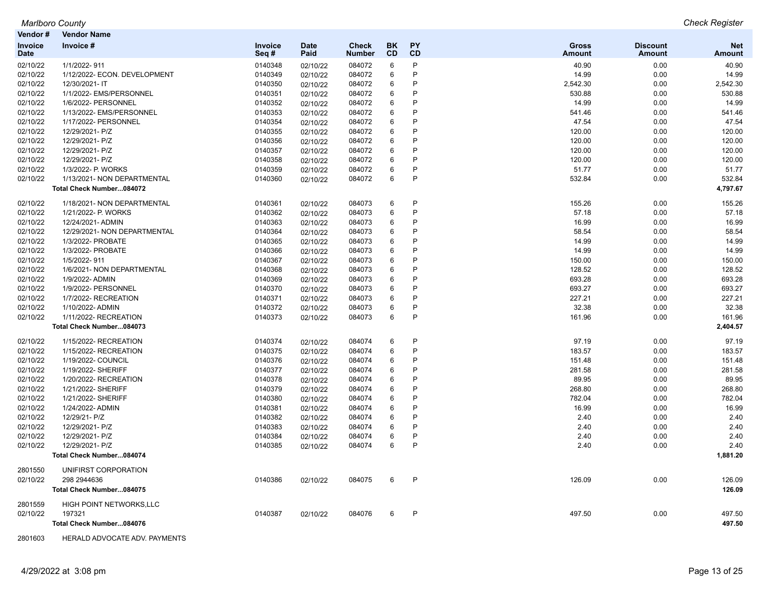| Vendor #               | <b>Vendor Name</b>             |                 |                     |                        |                 |                 |                               |                           |                             |
|------------------------|--------------------------------|-----------------|---------------------|------------------------|-----------------|-----------------|-------------------------------|---------------------------|-----------------------------|
| Invoice<br><b>Date</b> | Invoice #                      | Invoice<br>Seq# | <b>Date</b><br>Paid | Check<br><b>Number</b> | <b>BK</b><br>CD | <b>PY</b><br>CD | <b>Gross</b><br><b>Amount</b> | <b>Discount</b><br>Amount | <b>Net</b><br><b>Amount</b> |
| 02/10/22               | 1/1/2022-911                   | 0140348         | 02/10/22            | 084072                 | 6               | P               | 40.90                         | 0.00                      | 40.90                       |
| 02/10/22               | 1/12/2022- ECON. DEVELOPMENT   | 0140349         | 02/10/22            | 084072                 | 6               | P               | 14.99                         | 0.00                      | 14.99                       |
| 02/10/22               | 12/30/2021-IT                  | 0140350         | 02/10/22            | 084072                 | 6               | P               | 2,542.30                      | 0.00                      | 2,542.30                    |
| 02/10/22               | 1/1/2022- EMS/PERSONNEL        | 0140351         | 02/10/22            | 084072                 | 6               | P               | 530.88                        | 0.00                      | 530.88                      |
| 02/10/22               | 1/6/2022- PERSONNEL            | 0140352         | 02/10/22            | 084072                 | 6               | P               | 14.99                         | 0.00                      | 14.99                       |
| 02/10/22               | 1/13/2022- EMS/PERSONNEL       | 0140353         | 02/10/22            | 084072                 | 6               | P               | 541.46                        | 0.00                      | 541.46                      |
| 02/10/22               | 1/17/2022- PERSONNEL           | 0140354         | 02/10/22            | 084072                 | 6               | P               | 47.54                         | 0.00                      | 47.54                       |
| 02/10/22               | 12/29/2021- P/Z                | 0140355         | 02/10/22            | 084072                 | 6               | P               | 120.00                        | 0.00                      | 120.00                      |
| 02/10/22               | 12/29/2021- P/Z                | 0140356         | 02/10/22            | 084072                 | 6               | P               | 120.00                        | 0.00                      | 120.00                      |
| 02/10/22               | 12/29/2021- P/Z                | 0140357         | 02/10/22            | 084072                 | 6               | P               | 120.00                        | 0.00                      | 120.00                      |
| 02/10/22               | 12/29/2021- P/Z                | 0140358         | 02/10/22            | 084072                 | 6               | P               | 120.00                        | 0.00                      | 120.00                      |
| 02/10/22               | 1/3/2022- P. WORKS             | 0140359         | 02/10/22            | 084072                 | 6               | P               | 51.77                         | 0.00                      | 51.77                       |
| 02/10/22               | 1/13/2021- NON DEPARTMENTAL    | 0140360         | 02/10/22            | 084072                 | 6               | P               | 532.84                        | 0.00                      | 532.84                      |
|                        | Total Check Number084072       |                 |                     |                        |                 |                 |                               |                           | 4,797.67                    |
| 02/10/22               | 1/18/2021- NON DEPARTMENTAL    | 0140361         | 02/10/22            | 084073                 | 6               | P               | 155.26                        | 0.00                      | 155.26                      |
| 02/10/22               | 1/21/2022- P. WORKS            | 0140362         | 02/10/22            | 084073                 | 6               | P               | 57.18                         | 0.00                      | 57.18                       |
| 02/10/22               | 12/24/2021- ADMIN              | 0140363         | 02/10/22            | 084073                 | 6               | P               | 16.99                         | 0.00                      | 16.99                       |
| 02/10/22               | 12/29/2021- NON DEPARTMENTAL   | 0140364         | 02/10/22            | 084073                 | 6               | P               | 58.54                         | 0.00                      | 58.54                       |
| 02/10/22               | 1/3/2022- PROBATE              | 0140365         | 02/10/22            | 084073                 | 6               | P               | 14.99                         | 0.00                      | 14.99                       |
| 02/10/22               | 1/3/2022- PROBATE              | 0140366         | 02/10/22            | 084073                 | 6               | P               | 14.99                         | 0.00                      | 14.99                       |
| 02/10/22               | 1/5/2022-911                   | 0140367         | 02/10/22            | 084073                 | 6               | P               | 150.00                        | 0.00                      | 150.00                      |
| 02/10/22               | 1/6/2021- NON DEPARTMENTAL     | 0140368         | 02/10/22            | 084073                 | 6               | P               | 128.52                        | 0.00                      | 128.52                      |
| 02/10/22               | 1/9/2022- ADMIN                | 0140369         | 02/10/22            | 084073                 | 6               | P               | 693.28                        | 0.00                      | 693.28                      |
| 02/10/22               | 1/9/2022- PERSONNEL            | 0140370         | 02/10/22            | 084073                 | 6               | P               | 693.27                        | 0.00                      | 693.27                      |
| 02/10/22               | 1/7/2022- RECREATION           | 0140371         | 02/10/22            | 084073                 | 6               | P               | 227.21                        | 0.00                      | 227.21                      |
| 02/10/22               | 1/10/2022- ADMIN               | 0140372         | 02/10/22            | 084073                 | 6               | P               | 32.38                         | 0.00                      | 32.38                       |
| 02/10/22               | 1/11/2022- RECREATION          | 0140373         | 02/10/22            | 084073                 | 6               | P               | 161.96                        | 0.00                      | 161.96                      |
|                        | Total Check Number084073       |                 |                     |                        |                 |                 |                               |                           | 2,404.57                    |
| 02/10/22               | 1/15/2022- RECREATION          | 0140374         | 02/10/22            | 084074                 | 6               | P               | 97.19                         | 0.00                      | 97.19                       |
| 02/10/22               | 1/15/2022- RECREATION          | 0140375         | 02/10/22            | 084074                 | 6               | P               | 183.57                        | 0.00                      | 183.57                      |
| 02/10/22               | 1/19/2022- COUNCIL             | 0140376         | 02/10/22            | 084074                 | 6               | P               | 151.48                        | 0.00                      | 151.48                      |
| 02/10/22               | 1/19/2022- SHERIFF             | 0140377         | 02/10/22            | 084074                 | 6               | P               | 281.58                        | 0.00                      | 281.58                      |
| 02/10/22               | 1/20/2022- RECREATION          | 0140378         | 02/10/22            | 084074                 | 6               | P               | 89.95                         | 0.00                      | 89.95                       |
| 02/10/22               | 1/21/2022- SHERIFF             | 0140379         | 02/10/22            | 084074                 | 6               | P               | 268.80                        | 0.00                      | 268.80                      |
| 02/10/22               | 1/21/2022- SHERIFF             | 0140380         | 02/10/22            | 084074                 | 6               | P               | 782.04                        | 0.00                      | 782.04                      |
| 02/10/22               | 1/24/2022- ADMIN               | 0140381         | 02/10/22            | 084074                 | 6               | P               | 16.99                         | 0.00                      | 16.99                       |
| 02/10/22               | 12/29/21- P/Z                  | 0140382         | 02/10/22            | 084074                 | 6               | P               | 2.40                          | 0.00                      | 2.40                        |
| 02/10/22               | 12/29/2021- P/Z                | 0140383         | 02/10/22            | 084074                 | 6               | P               | 2.40                          | 0.00                      | 2.40                        |
| 02/10/22               | 12/29/2021- P/Z                | 0140384         | 02/10/22            | 084074                 | 6               | P               | 2.40                          | 0.00                      | 2.40                        |
| 02/10/22               | 12/29/2021- P/Z                | 0140385         | 02/10/22            | 084074                 | 6               | P               | 2.40                          | 0.00                      | 2.40                        |
|                        | Total Check Number084074       |                 |                     |                        |                 |                 |                               |                           | 1,881.20                    |
| 2801550                | UNIFIRST CORPORATION           |                 |                     |                        |                 |                 |                               |                           |                             |
| 02/10/22               | 298 2944636                    | 0140386         | 02/10/22            | 084075                 | 6               | P               | 126.09                        | 0.00                      | 126.09                      |
|                        | Total Check Number084075       |                 |                     |                        |                 |                 |                               |                           | 126.09                      |
| 2801559                | <b>HIGH POINT NETWORKS.LLC</b> |                 |                     |                        |                 |                 |                               |                           |                             |
| 02/10/22               | 197321                         | 0140387         | 02/10/22            | 084076                 | 6               | P               | 497.50                        | 0.00                      | 497.50                      |
|                        | Total Check Number084076       |                 |                     |                        |                 |                 |                               |                           | 497.50                      |

2801603 HERALD ADVOCATE ADV. PAYMENTS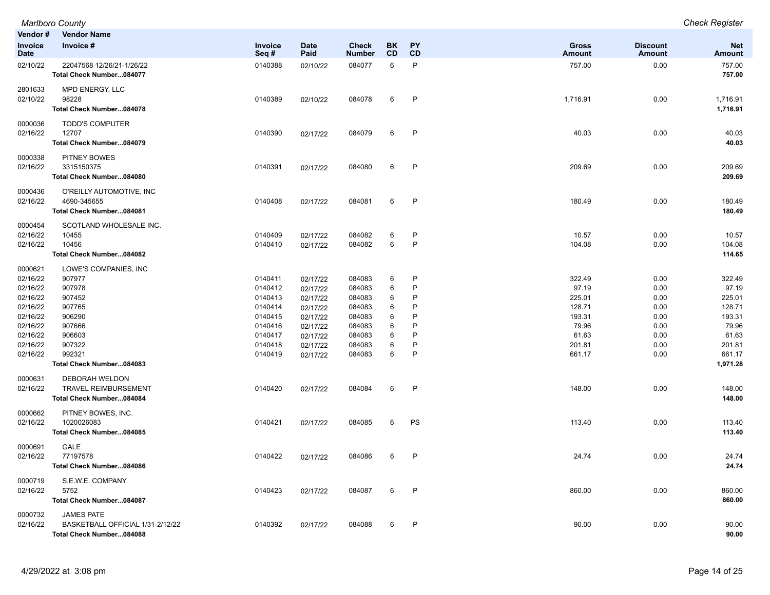| Vendor#                                                  | <b>Vendor Name</b>                                                                |                                                     |                                                          |                                                |                       |                       |                                              |                                      |                                              |
|----------------------------------------------------------|-----------------------------------------------------------------------------------|-----------------------------------------------------|----------------------------------------------------------|------------------------------------------------|-----------------------|-----------------------|----------------------------------------------|--------------------------------------|----------------------------------------------|
| Invoice<br><b>Date</b>                                   | Invoice #                                                                         | <b>Invoice</b><br>Seq#                              | <b>Date</b><br>Paid                                      | <b>Check</b><br><b>Number</b>                  | <b>BK</b><br>CD       | <b>PY</b><br>CD       | <b>Gross</b><br><b>Amount</b>                | <b>Discount</b><br><b>Amount</b>     | <b>Net</b><br><b>Amount</b>                  |
| 02/10/22                                                 | 22047568 12/26/21-1/26/22<br>Total Check Number084077                             | 0140388                                             | 02/10/22                                                 | 084077                                         | 6                     | P                     | 757.00                                       | 0.00                                 | 757.00<br>757.00                             |
| 2801633<br>02/10/22                                      | MPD ENERGY, LLC<br>98228<br>Total Check Number084078                              | 0140389                                             | 02/10/22                                                 | 084078                                         | 6                     | P                     | 1,716.91                                     | 0.00                                 | 1,716.91<br>1,716.91                         |
| 0000036<br>02/16/22                                      | <b>TODD'S COMPUTER</b><br>12707<br>Total Check Number084079                       | 0140390                                             | 02/17/22                                                 | 084079                                         | 6                     | P                     | 40.03                                        | 0.00                                 | 40.03<br>40.03                               |
| 0000338<br>02/16/22                                      | <b>PITNEY BOWES</b><br>3315150375<br>Total Check Number084080                     | 0140391                                             | 02/17/22                                                 | 084080                                         | 6                     | P                     | 209.69                                       | 0.00                                 | 209.69<br>209.69                             |
| 0000436<br>02/16/22                                      | O'REILLY AUTOMOTIVE, INC<br>4690-345655<br>Total Check Number084081               | 0140408                                             | 02/17/22                                                 | 084081                                         | 6                     | P                     | 180.49                                       | 0.00                                 | 180.49<br>180.49                             |
| 0000454<br>02/16/22<br>02/16/22                          | SCOTLAND WHOLESALE INC.<br>10455<br>10456<br>Total Check Number084082             | 0140409<br>0140410                                  | 02/17/22<br>02/17/22                                     | 084082<br>084082                               | 6<br>6                | P<br>P                | 10.57<br>104.08                              | 0.00<br>0.00                         | 10.57<br>104.08<br>114.65                    |
| 0000621<br>02/16/22<br>02/16/22<br>02/16/22<br>02/16/22  | LOWE'S COMPANIES, INC<br>907977<br>907978<br>907452<br>907765                     | 0140411<br>0140412<br>0140413<br>0140414            | 02/17/22<br>02/17/22<br>02/17/22<br>02/17/22             | 084083<br>084083<br>084083<br>084083           | 6<br>6<br>6<br>6      | P<br>P<br>P<br>P      | 322.49<br>97.19<br>225.01<br>128.71          | 0.00<br>0.00<br>0.00<br>0.00         | 322.49<br>97.19<br>225.01<br>128.71          |
| 02/16/22<br>02/16/22<br>02/16/22<br>02/16/22<br>02/16/22 | 906290<br>907666<br>906603<br>907322<br>992321                                    | 0140415<br>0140416<br>0140417<br>0140418<br>0140419 | 02/17/22<br>02/17/22<br>02/17/22<br>02/17/22<br>02/17/22 | 084083<br>084083<br>084083<br>084083<br>084083 | 6<br>6<br>6<br>6<br>6 | P<br>P<br>P<br>P<br>P | 193.31<br>79.96<br>61.63<br>201.81<br>661.17 | 0.00<br>0.00<br>0.00<br>0.00<br>0.00 | 193.31<br>79.96<br>61.63<br>201.81<br>661.17 |
|                                                          | Total Check Number084083                                                          |                                                     |                                                          |                                                |                       |                       |                                              |                                      | 1,971.28                                     |
| 0000631<br>02/16/22                                      | <b>DEBORAH WELDON</b><br><b>TRAVEL REIMBURSEMENT</b><br>Total Check Number084084  | 0140420                                             | 02/17/22                                                 | 084084                                         | 6                     | P                     | 148.00                                       | 0.00                                 | 148.00<br>148.00                             |
| 0000662<br>02/16/22                                      | PITNEY BOWES, INC.<br>1020026083<br>Total Check Number084085                      | 0140421                                             | 02/17/22                                                 | 084085                                         | 6                     | PS                    | 113.40                                       | 0.00                                 | 113.40<br>113.40                             |
| 0000691<br>02/16/22                                      | GALE<br>77197578<br>Total Check Number084086                                      | 0140422                                             | 02/17/22                                                 | 084086                                         | 6                     | P                     | 24.74                                        | 0.00                                 | 24.74<br>24.74                               |
| 0000719<br>02/16/22                                      | S.E.W.E. COMPANY<br>5752<br>Total Check Number084087                              | 0140423                                             | 02/17/22                                                 | 084087                                         | 6                     | P                     | 860.00                                       | 0.00                                 | 860.00<br>860.00                             |
| 0000732<br>02/16/22                                      | <b>JAMES PATE</b><br>BASKETBALL OFFICIAL 1/31-2/12/22<br>Total Check Number084088 | 0140392                                             | 02/17/22                                                 | 084088                                         | 6                     | P                     | 90.00                                        | 0.00                                 | 90.00<br>90.00                               |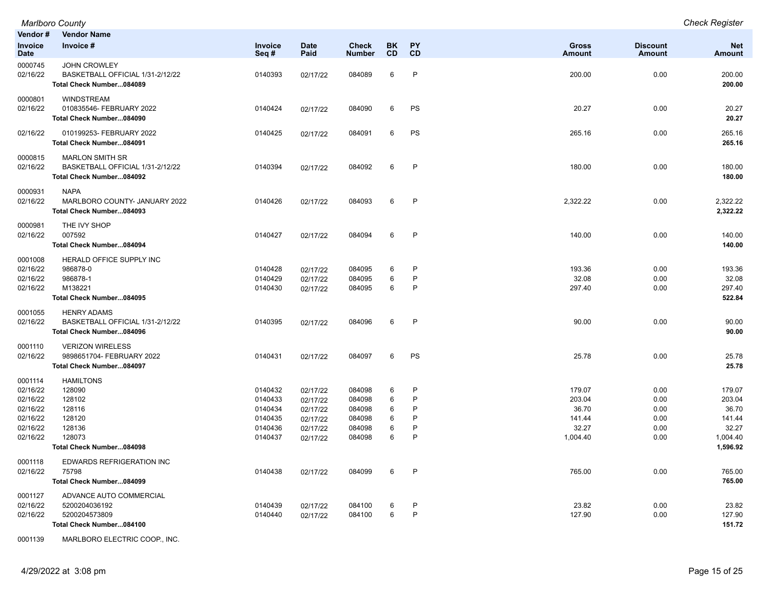| Vendor#                                                                         | <b>Vendor Name</b>                                                                                       |                                                                |                                                                      |                                                          |                            |                            |                                                          |                                              |                                                                      |
|---------------------------------------------------------------------------------|----------------------------------------------------------------------------------------------------------|----------------------------------------------------------------|----------------------------------------------------------------------|----------------------------------------------------------|----------------------------|----------------------------|----------------------------------------------------------|----------------------------------------------|----------------------------------------------------------------------|
| Invoice<br><b>Date</b>                                                          | Invoice #                                                                                                | Invoice<br>Seq $#$                                             | <b>Date</b><br>Paid                                                  | <b>Check</b><br><b>Number</b>                            | BK<br><b>CD</b>            | <b>PY</b><br>CD            | <b>Gross</b><br><b>Amount</b>                            | <b>Discount</b><br><b>Amount</b>             | <b>Net</b><br><b>Amount</b>                                          |
| 0000745<br>02/16/22                                                             | <b>JOHN CROWLEY</b><br>BASKETBALL OFFICIAL 1/31-2/12/22<br>Total Check Number084089                      | 0140393                                                        | 02/17/22                                                             | 084089                                                   | 6                          | P                          | 200.00                                                   | 0.00                                         | 200.00<br>200.00                                                     |
| 0000801<br>02/16/22                                                             | <b>WINDSTREAM</b><br>010835546- FEBRUARY 2022<br>Total Check Number084090                                | 0140424                                                        | 02/17/22                                                             | 084090                                                   | 6                          | PS                         | 20.27                                                    | 0.00                                         | 20.27<br>20.27                                                       |
| 02/16/22                                                                        | 010199253- FEBRUARY 2022<br>Total Check Number084091                                                     | 0140425                                                        | 02/17/22                                                             | 084091                                                   | 6                          | PS                         | 265.16                                                   | 0.00                                         | 265.16<br>265.16                                                     |
| 0000815<br>02/16/22                                                             | <b>MARLON SMITH SR</b><br>BASKETBALL OFFICIAL 1/31-2/12/22<br>Total Check Number084092                   | 0140394                                                        | 02/17/22                                                             | 084092                                                   | 6                          | P                          | 180.00                                                   | 0.00                                         | 180.00<br>180.00                                                     |
| 0000931<br>02/16/22                                                             | <b>NAPA</b><br>MARLBORO COUNTY- JANUARY 2022<br>Total Check Number084093                                 | 0140426                                                        | 02/17/22                                                             | 084093                                                   | 6                          | P                          | 2,322.22                                                 | 0.00                                         | 2,322.22<br>2,322.22                                                 |
| 0000981<br>02/16/22                                                             | THE IVY SHOP<br>007592<br>Total Check Number084094                                                       | 0140427                                                        | 02/17/22                                                             | 084094                                                   | 6                          | P                          | 140.00                                                   | 0.00                                         | 140.00<br>140.00                                                     |
| 0001008<br>02/16/22<br>02/16/22<br>02/16/22                                     | HERALD OFFICE SUPPLY INC<br>986878-0<br>986878-1<br>M138221<br>Total Check Number084095                  | 0140428<br>0140429<br>0140430                                  | 02/17/22<br>02/17/22<br>02/17/22                                     | 084095<br>084095<br>084095                               | 6<br>6<br>$\,6\,$          | P<br>P<br>P                | 193.36<br>32.08<br>297.40                                | 0.00<br>0.00<br>0.00                         | 193.36<br>32.08<br>297.40<br>522.84                                  |
| 0001055<br>02/16/22                                                             | <b>HENRY ADAMS</b><br>BASKETBALL OFFICIAL 1/31-2/12/22<br>Total Check Number084096                       | 0140395                                                        | 02/17/22                                                             | 084096                                                   | 6                          | P                          | 90.00                                                    | 0.00                                         | 90.00<br>90.00                                                       |
| 0001110<br>02/16/22                                                             | <b>VERIZON WIRELESS</b><br>9898651704- FEBRUARY 2022<br>Total Check Number084097                         | 0140431                                                        | 02/17/22                                                             | 084097                                                   | 6                          | PS                         | 25.78                                                    | 0.00                                         | 25.78<br>25.78                                                       |
| 0001114<br>02/16/22<br>02/16/22<br>02/16/22<br>02/16/22<br>02/16/22<br>02/16/22 | <b>HAMILTONS</b><br>128090<br>128102<br>128116<br>128120<br>128136<br>128073<br>Total Check Number084098 | 0140432<br>0140433<br>0140434<br>0140435<br>0140436<br>0140437 | 02/17/22<br>02/17/22<br>02/17/22<br>02/17/22<br>02/17/22<br>02/17/22 | 084098<br>084098<br>084098<br>084098<br>084098<br>084098 | 6<br>6<br>6<br>6<br>6<br>6 | P<br>P<br>P<br>P<br>P<br>P | 179.07<br>203.04<br>36.70<br>141.44<br>32.27<br>1,004.40 | 0.00<br>0.00<br>0.00<br>0.00<br>0.00<br>0.00 | 179.07<br>203.04<br>36.70<br>141.44<br>32.27<br>1,004.40<br>1,596.92 |
| 0001118<br>02/16/22                                                             | EDWARDS REFRIGERATION INC<br>75798<br>Total Check Number084099                                           | 0140438                                                        | 02/17/22                                                             | 084099                                                   | 6                          | P                          | 765.00                                                   | 0.00                                         | 765.00<br>765.00                                                     |
| 0001127<br>02/16/22<br>02/16/22                                                 | ADVANCE AUTO COMMERCIAL<br>5200204036192<br>5200204573809<br>Total Check Number084100                    | 0140439<br>0140440                                             | 02/17/22<br>02/17/22                                                 | 084100<br>084100                                         | 6<br>6                     | P<br>P                     | 23.82<br>127.90                                          | 0.00<br>0.00                                 | 23.82<br>127.90<br>151.72                                            |

0001139 MARLBORO ELECTRIC COOP., INC.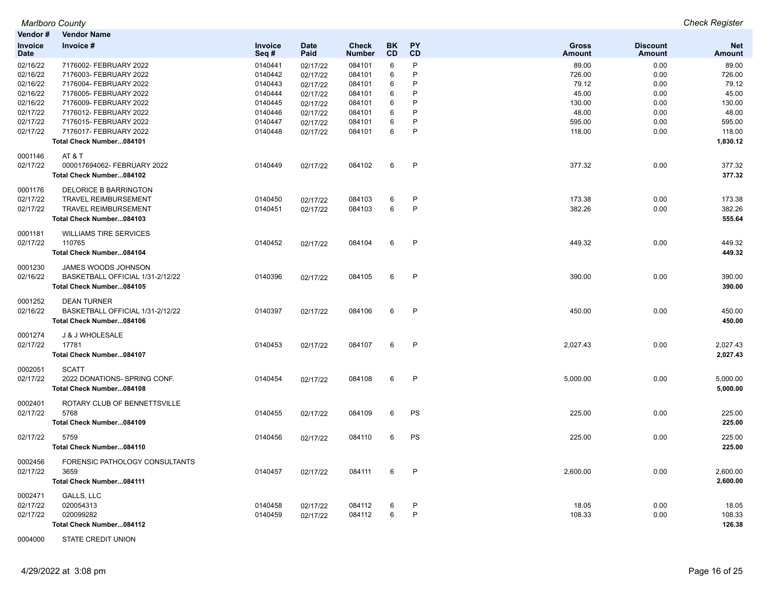```
Marlboro County Check Register
```

| Vendor#                | <b>Vendor Name</b>               |                 |                     |                               |                 |              |                        |                           |                      |
|------------------------|----------------------------------|-----------------|---------------------|-------------------------------|-----------------|--------------|------------------------|---------------------------|----------------------|
| Invoice<br><b>Date</b> | Invoice #                        | Invoice<br>Seq# | <b>Date</b><br>Paid | <b>Check</b><br><b>Number</b> | <b>BK</b><br>CD | PY<br>CD     | <b>Gross</b><br>Amount | <b>Discount</b><br>Amount | <b>Net</b><br>Amount |
| 02/16/22               | 7176002- FEBRUARY 2022           | 0140441         | 02/17/22            | 084101                        | 6               | P            | 89.00                  | 0.00                      | 89.00                |
| 02/16/22               | 7176003- FEBRUARY 2022           | 0140442         | 02/17/22            | 084101                        | 6               | P            | 726.00                 | 0.00                      | 726.00               |
| 02/16/22               | 7176004- FEBRUARY 2022           | 0140443         | 02/17/22            | 084101                        | 6               | P            | 79.12                  | 0.00                      | 79.12                |
| 02/16/22               | 7176005- FEBRUARY 2022           | 0140444         | 02/17/22            | 084101                        | 6               | P            | 45.00                  | 0.00                      | 45.00                |
| 02/16/22               | 7176009- FEBRUARY 2022           | 0140445         | 02/17/22            | 084101                        | 6               | P            | 130.00                 | 0.00                      | 130.00               |
| 02/17/22               | 7176012- FEBRUARY 2022           | 0140446         | 02/17/22            | 084101                        | 6               | P            | 48.00                  | 0.00                      | 48.00                |
| 02/17/22               | 7176015- FEBRUARY 2022           | 0140447         | 02/17/22            | 084101                        | 6               | P            | 595.00                 | 0.00                      | 595.00               |
| 02/17/22               | 7176017- FEBRUARY 2022           | 0140448         | 02/17/22            | 084101                        | 6               | P            | 118.00                 | 0.00                      | 118.00               |
|                        | Total Check Number084101         |                 |                     |                               |                 |              |                        |                           | 1,830.12             |
| 0001146                | AT&T                             |                 |                     |                               |                 |              |                        |                           |                      |
| 02/17/22               | 000017694062- FEBRUARY 2022      | 0140449         | 02/17/22            | 084102                        | 6               | $\mathsf{P}$ | 377.32                 | 0.00                      | 377.32               |
|                        | Total Check Number084102         |                 |                     |                               |                 |              |                        |                           | 377.32               |
| 0001176                | DELORICE B BARRINGTON            |                 |                     |                               |                 |              |                        |                           |                      |
| 02/17/22               | <b>TRAVEL REIMBURSEMENT</b>      | 0140450         | 02/17/22            | 084103                        | 6               | $\mathsf{P}$ | 173.38                 | 0.00                      | 173.38               |
| 02/17/22               | <b>TRAVEL REIMBURSEMENT</b>      | 0140451         | 02/17/22            | 084103                        | 6               | P            | 382.26                 | 0.00                      | 382.26               |
|                        | Total Check Number084103         |                 |                     |                               |                 |              |                        |                           | 555.64               |
| 0001181                | <b>WILLIAMS TIRE SERVICES</b>    |                 |                     |                               |                 |              |                        |                           |                      |
| 02/17/22               | 110765                           | 0140452         | 02/17/22            | 084104                        | 6               | P            | 449.32                 | 0.00                      | 449.32               |
|                        | Total Check Number084104         |                 |                     |                               |                 |              |                        |                           | 449.32               |
| 0001230                | JAMES WOODS JOHNSON              |                 |                     |                               |                 |              |                        |                           |                      |
| 02/16/22               | BASKETBALL OFFICIAL 1/31-2/12/22 | 0140396         | 02/17/22            | 084105                        | 6               | P            | 390.00                 | 0.00                      | 390.00               |
|                        | Total Check Number084105         |                 |                     |                               |                 |              |                        |                           | 390.00               |
| 0001252                | <b>DEAN TURNER</b>               |                 |                     |                               |                 |              |                        |                           |                      |
| 02/16/22               | BASKETBALL OFFICIAL 1/31-2/12/22 | 0140397         | 02/17/22            | 084106                        | 6               | P            | 450.00                 | 0.00                      | 450.00               |
|                        | Total Check Number084106         |                 |                     |                               |                 |              |                        |                           | 450.00               |
| 0001274                | J & J WHOLESALE                  |                 |                     |                               |                 |              |                        |                           |                      |
| 02/17/22               | 17781                            | 0140453         | 02/17/22            | 084107                        | 6               | P            | 2,027.43               | 0.00                      | 2,027.43             |
|                        | Total Check Number084107         |                 |                     |                               |                 |              |                        |                           | 2,027.43             |
| 0002051                | <b>SCATT</b>                     |                 |                     |                               |                 |              |                        |                           |                      |
| 02/17/22               | 2022 DONATIONS- SPRING CONF.     | 0140454         | 02/17/22            | 084108                        | 6               | $\mathsf{P}$ | 5,000.00               | 0.00                      | 5,000.00             |
|                        | Total Check Number084108         |                 |                     |                               |                 |              |                        |                           | 5,000.00             |
| 0002401                | ROTARY CLUB OF BENNETTSVILLE     |                 |                     |                               |                 |              |                        |                           |                      |
| 02/17/22               | 5768                             | 0140455         | 02/17/22            | 084109                        | 6               | PS           | 225.00                 | 0.00                      | 225.00               |
|                        | Total Check Number084109         |                 |                     |                               |                 |              |                        |                           | 225.00               |
| 02/17/22               | 5759                             | 0140456         | 02/17/22            | 084110                        | 6               | PS           | 225.00                 | 0.00                      | 225.00               |
|                        | Total Check Number084110         |                 |                     |                               |                 |              |                        |                           | 225.00               |
| 0002456                | FORENSIC PATHOLOGY CONSULTANTS   |                 |                     |                               |                 |              |                        |                           |                      |
| 02/17/22               | 3659                             | 0140457         | 02/17/22            | 084111                        | 6               | $\mathsf{P}$ | 2,600.00               | 0.00                      | 2,600.00             |
|                        | Total Check Number084111         |                 |                     |                               |                 |              |                        |                           | 2,600.00             |
| 0002471                | GALLS, LLC                       |                 |                     |                               |                 |              |                        |                           |                      |
| 02/17/22               | 020054313                        | 0140458         | 02/17/22            | 084112                        | 6               | $\mathsf{P}$ | 18.05                  | 0.00                      | 18.05                |
| 02/17/22               | 020099282                        | 0140459         | 02/17/22            | 084112                        | 6               | P            | 108.33                 | 0.00                      | 108.33               |
|                        | Total Check Number084112         |                 |                     |                               |                 |              |                        |                           | 126.38               |

0004000 STATE CREDIT UNION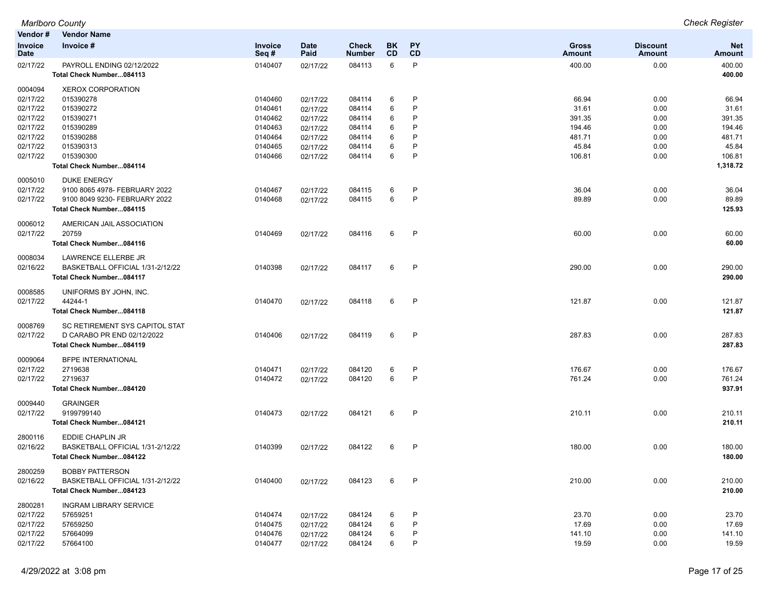| Vendor #               | <b>Vendor Name</b>                                           |                 |                     |                               |                  |              |                               |                                  |                      |
|------------------------|--------------------------------------------------------------|-----------------|---------------------|-------------------------------|------------------|--------------|-------------------------------|----------------------------------|----------------------|
| Invoice<br><b>Date</b> | Invoice #                                                    | Invoice<br>Seq# | <b>Date</b><br>Paid | <b>Check</b><br><b>Number</b> | BK.<br><b>CD</b> | PY<br>CD     | <b>Gross</b><br><b>Amount</b> | <b>Discount</b><br><b>Amount</b> | <b>Net</b><br>Amount |
| 02/17/22               | PAYROLL ENDING 02/12/2022<br>Total Check Number084113        | 0140407         | 02/17/22            | 084113                        | 6                | P            | 400.00                        | 0.00                             | 400.00<br>400.00     |
| 0004094                | <b>XEROX CORPORATION</b>                                     |                 |                     |                               |                  |              |                               |                                  |                      |
| 02/17/22               | 015390278                                                    | 0140460         | 02/17/22            | 084114                        | 6                | P            | 66.94                         | 0.00                             | 66.94                |
| 02/17/22               | 015390272                                                    | 0140461         | 02/17/22            | 084114                        | 6                | P            | 31.61                         | 0.00                             | 31.61                |
| 02/17/22               | 015390271                                                    | 0140462         | 02/17/22            | 084114                        | 6                | P            | 391.35                        | 0.00                             | 391.35               |
| 02/17/22               | 015390289                                                    | 0140463         | 02/17/22            | 084114                        | 6                | P            | 194.46                        | 0.00                             | 194.46               |
| 02/17/22               | 015390288                                                    | 0140464         | 02/17/22            | 084114                        | 6                | P            | 481.71                        | 0.00                             | 481.71               |
| 02/17/22               | 015390313                                                    | 0140465         | 02/17/22            | 084114                        | 6                | P            | 45.84                         | 0.00                             | 45.84                |
| 02/17/22               | 015390300                                                    | 0140466         | 02/17/22            | 084114                        | 6                | P            | 106.81                        | 0.00                             | 106.81               |
|                        | Total Check Number084114                                     |                 |                     |                               |                  |              |                               |                                  | 1,318.72             |
| 0005010                | <b>DUKE ENERGY</b>                                           |                 |                     |                               |                  |              |                               |                                  |                      |
| 02/17/22               | 9100 8065 4978- FEBRUARY 2022                                | 0140467         | 02/17/22            | 084115                        | 6                | P            | 36.04                         | 0.00                             | 36.04                |
| 02/17/22               | 9100 8049 9230- FEBRUARY 2022                                | 0140468         | 02/17/22            | 084115                        | 6                | P            | 89.89                         | 0.00                             | 89.89                |
|                        | Total Check Number084115                                     |                 |                     |                               |                  |              |                               |                                  | 125.93               |
| 0006012                | AMERICAN JAIL ASSOCIATION                                    |                 |                     |                               |                  |              |                               |                                  |                      |
| 02/17/22               | 20759                                                        | 0140469         | 02/17/22            | 084116                        | 6                | $\mathsf{P}$ | 60.00                         | 0.00                             | 60.00                |
|                        | Total Check Number084116                                     |                 |                     |                               |                  |              |                               |                                  | 60.00                |
|                        |                                                              |                 |                     |                               |                  |              |                               |                                  |                      |
| 0008034                | LAWRENCE ELLERBE JR                                          |                 |                     |                               |                  |              |                               |                                  |                      |
| 02/16/22               | BASKETBALL OFFICIAL 1/31-2/12/22                             | 0140398         | 02/17/22            | 084117                        | 6                | $\mathsf{P}$ | 290.00                        | 0.00                             | 290.00               |
|                        | Total Check Number084117                                     |                 |                     |                               |                  |              |                               |                                  | 290.00               |
| 0008585                | UNIFORMS BY JOHN, INC.                                       |                 |                     |                               |                  |              |                               |                                  |                      |
| 02/17/22               | 44244-1                                                      | 0140470         | 02/17/22            | 084118                        | 6                | P            | 121.87                        | 0.00                             | 121.87               |
|                        | Total Check Number084118                                     |                 |                     |                               |                  |              |                               |                                  | 121.87               |
| 0008769                | SC RETIREMENT SYS CAPITOL STAT                               |                 |                     |                               |                  |              |                               |                                  |                      |
| 02/17/22               | D CARABO PR END 02/12/2022                                   | 0140406         | 02/17/22            | 084119                        | 6                | P            | 287.83                        | 0.00                             | 287.83               |
|                        | Total Check Number084119                                     |                 |                     |                               |                  |              |                               |                                  | 287.83               |
| 0009064                | BFPE INTERNATIONAL                                           |                 |                     |                               |                  |              |                               |                                  |                      |
| 02/17/22               | 2719638                                                      | 0140471         | 02/17/22            | 084120                        | 6                | P            | 176.67                        | 0.00                             | 176.67               |
| 02/17/22               | 2719637                                                      | 0140472         | 02/17/22            | 084120                        | 6                | P            | 761.24                        | 0.00                             | 761.24               |
|                        | Total Check Number084120                                     |                 |                     |                               |                  |              |                               |                                  | 937.91               |
| 0009440                | <b>GRAINGER</b>                                              |                 |                     |                               |                  |              |                               |                                  |                      |
| 02/17/22               | 9199799140                                                   | 0140473         | 02/17/22            | 084121                        | 6                | $\mathsf{P}$ | 210.11                        | 0.00                             | 210.11               |
|                        | Total Check Number084121                                     |                 |                     |                               |                  |              |                               |                                  | 210.11               |
|                        |                                                              |                 |                     |                               |                  |              |                               |                                  |                      |
| 2800116                | EDDIE CHAPLIN JR                                             |                 |                     |                               |                  |              |                               |                                  |                      |
| 02/16/22               | BASKETBALL OFFICIAL 1/31-2/12/22<br>Total Check Number084122 | 0140399         | 02/17/22            | 084122                        | 6                | P            | 180.00                        | 0.00                             | 180.00<br>180.00     |
|                        |                                                              |                 |                     |                               |                  |              |                               |                                  |                      |
| 2800259                | <b>BOBBY PATTERSON</b>                                       |                 |                     |                               |                  |              |                               |                                  |                      |
| 02/16/22               | BASKETBALL OFFICIAL 1/31-2/12/22                             | 0140400         | 02/17/22            | 084123                        | 6                | P            | 210.00                        | 0.00                             | 210.00               |
|                        | Total Check Number084123                                     |                 |                     |                               |                  |              |                               |                                  | 210.00               |
| 2800281                | <b>INGRAM LIBRARY SERVICE</b>                                |                 |                     |                               |                  |              |                               |                                  |                      |
| 02/17/22               | 57659251                                                     | 0140474         | 02/17/22            | 084124                        | 6                | P            | 23.70                         | 0.00                             | 23.70                |
| 02/17/22               | 57659250                                                     | 0140475         | 02/17/22            | 084124                        | 6                | P            | 17.69                         | 0.00                             | 17.69                |
| 02/17/22               | 57664099                                                     | 0140476         | 02/17/22            | 084124                        | 6                | P            | 141.10                        | 0.00                             | 141.10               |
| 02/17/22               | 57664100                                                     | 0140477         | 02/17/22            | 084124                        | 6                | P            | 19.59                         | 0.00                             | 19.59                |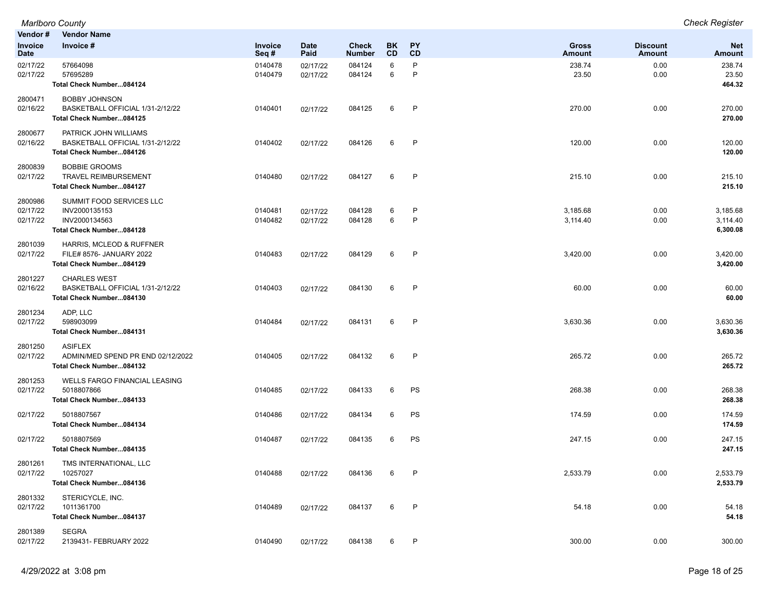| Vendor #                        | <b>Vendor Name</b>                                                                          |                    |                      |                               |                        |                   |                        |                                  |                                  |
|---------------------------------|---------------------------------------------------------------------------------------------|--------------------|----------------------|-------------------------------|------------------------|-------------------|------------------------|----------------------------------|----------------------------------|
| <b>Invoice</b><br>Date          | Invoice #                                                                                   | Invoice<br>Seq#    | <b>Date</b><br>Paid  | <b>Check</b><br><b>Number</b> | <b>BK</b><br><b>CD</b> | <b>PY</b><br>CD   | <b>Gross</b><br>Amount | <b>Discount</b><br><b>Amount</b> | <b>Net</b><br><b>Amount</b>      |
| 02/17/22<br>02/17/22            | 57664098<br>57695289<br>Total Check Number084124                                            | 0140478<br>0140479 | 02/17/22<br>02/17/22 | 084124<br>084124              | 6<br>6                 | P<br>P            | 238.74<br>23.50        | 0.00<br>0.00                     | 238.74<br>23.50<br>464.32        |
| 2800471<br>02/16/22             | <b>BOBBY JOHNSON</b><br>BASKETBALL OFFICIAL 1/31-2/12/22<br>Total Check Number084125        | 0140401            | 02/17/22             | 084125                        | 6                      | $\mathsf{P}$      | 270.00                 | 0.00                             | 270.00<br>270.00                 |
| 2800677<br>02/16/22             | PATRICK JOHN WILLIAMS<br>BASKETBALL OFFICIAL 1/31-2/12/22<br>Total Check Number084126       | 0140402            | 02/17/22             | 084126                        | 6                      | P                 | 120.00                 | 0.00                             | 120.00<br>120.00                 |
| 2800839<br>02/17/22             | <b>BOBBIE GROOMS</b><br><b>TRAVEL REIMBURSEMENT</b><br>Total Check Number084127             | 0140480            | 02/17/22             | 084127                        | 6                      | P                 | 215.10                 | 0.00                             | 215.10<br>215.10                 |
| 2800986<br>02/17/22<br>02/17/22 | SUMMIT FOOD SERVICES LLC<br>INV2000135153<br>INV2000134563<br>Total Check Number084128      | 0140481<br>0140482 | 02/17/22<br>02/17/22 | 084128<br>084128              | 6<br>6                 | P<br>$\mathsf{P}$ | 3,185.68<br>3,114.40   | 0.00<br>0.00                     | 3,185.68<br>3,114.40<br>6,300.08 |
| 2801039<br>02/17/22             | <b>HARRIS, MCLEOD &amp; RUFFNER</b><br>FILE# 8576- JANUARY 2022<br>Total Check Number084129 | 0140483            | 02/17/22             | 084129                        | 6                      | $\mathsf{P}$      | 3,420.00               | 0.00                             | 3,420.00<br>3,420.00             |
| 2801227<br>02/16/22             | <b>CHARLES WEST</b><br>BASKETBALL OFFICIAL 1/31-2/12/22<br>Total Check Number084130         | 0140403            | 02/17/22             | 084130                        | 6                      | $\mathsf{P}$      | 60.00                  | 0.00                             | 60.00<br>60.00                   |
| 2801234<br>02/17/22             | ADP, LLC<br>598903099<br>Total Check Number084131                                           | 0140484            | 02/17/22             | 084131                        | 6                      | P                 | 3,630.36               | 0.00                             | 3,630.36<br>3,630.36             |
| 2801250<br>02/17/22             | <b>ASIFLEX</b><br>ADMIN/MED SPEND PR END 02/12/2022<br>Total Check Number084132             | 0140405            | 02/17/22             | 084132                        | 6                      | P                 | 265.72                 | 0.00                             | 265.72<br>265.72                 |
| 2801253<br>02/17/22             | <b>WELLS FARGO FINANCIAL LEASING</b><br>5018807866<br>Total Check Number084133              | 0140485            | 02/17/22             | 084133                        | 6                      | PS                | 268.38                 | 0.00                             | 268.38<br>268.38                 |
| 02/17/22                        | 5018807567<br>Total Check Number084134                                                      | 0140486            | 02/17/22             | 084134                        | 6                      | PS                | 174.59                 | 0.00                             | 174.59<br>174.59                 |
| 02/17/22                        | 5018807569<br>Total Check Number084135                                                      | 0140487            | 02/17/22             | 084135                        | 6                      | PS                | 247.15                 | 0.00                             | 247.15<br>247.15                 |
| 2801261<br>02/17/22             | TMS INTERNATIONAL, LLC<br>10257027<br>Total Check Number084136                              | 0140488            | 02/17/22             | 084136                        | 6                      | P                 | 2,533.79               | 0.00                             | 2,533.79<br>2,533.79             |
| 2801332<br>02/17/22             | STERICYCLE, INC.<br>1011361700<br>Total Check Number084137                                  | 0140489            | 02/17/22             | 084137                        | 6                      | $\mathsf{P}$      | 54.18                  | 0.00                             | 54.18<br>54.18                   |
| 2801389<br>02/17/22             | <b>SEGRA</b><br>2139431- FEBRUARY 2022                                                      | 0140490            | 02/17/22             | 084138                        | 6                      | $\mathsf{P}$      | 300.00                 | 0.00                             | 300.00                           |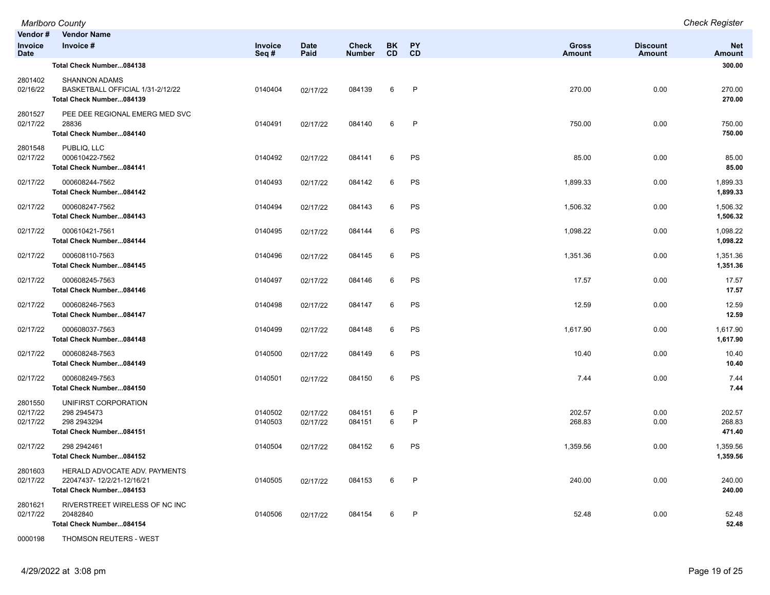|                                          | <b>Marlboro County</b>                                                                 |                    |                      |                               |                 |                 |                               |                           | <b>Check Register</b>       |
|------------------------------------------|----------------------------------------------------------------------------------------|--------------------|----------------------|-------------------------------|-----------------|-----------------|-------------------------------|---------------------------|-----------------------------|
| Vendor#<br><b>Invoice</b><br><b>Date</b> | <b>Vendor Name</b><br>Invoice #                                                        | Invoice<br>Seq#    | <b>Date</b><br>Paid  | <b>Check</b><br><b>Number</b> | BK<br><b>CD</b> | <b>PY</b><br>CD | <b>Gross</b><br><b>Amount</b> | <b>Discount</b><br>Amount | <b>Net</b><br><b>Amount</b> |
|                                          | Total Check Number084138                                                               |                    |                      |                               |                 |                 |                               |                           | 300.00                      |
| 2801402<br>02/16/22                      | <b>SHANNON ADAMS</b><br>BASKETBALL OFFICIAL 1/31-2/12/22<br>Total Check Number084139   | 0140404            | 02/17/22             | 084139                        | 6               | P               | 270.00                        | 0.00                      | 270.00<br>270.00            |
| 2801527<br>02/17/22                      | PEE DEE REGIONAL EMERG MED SVC<br>28836<br>Total Check Number084140                    | 0140491            | 02/17/22             | 084140                        | 6               | $\mathsf{P}$    | 750.00                        | 0.00                      | 750.00<br>750.00            |
| 2801548<br>02/17/22                      | PUBLIQ, LLC<br>000610422-7562<br>Total Check Number084141                              | 0140492            | 02/17/22             | 084141                        | 6               | PS              | 85.00                         | 0.00                      | 85.00<br>85.00              |
| 02/17/22                                 | 000608244-7562<br>Total Check Number084142                                             | 0140493            | 02/17/22             | 084142                        | 6               | PS              | 1,899.33                      | 0.00                      | 1,899.33<br>1,899.33        |
| 02/17/22                                 | 000608247-7562<br>Total Check Number084143                                             | 0140494            | 02/17/22             | 084143                        | 6               | PS              | 1,506.32                      | 0.00                      | 1,506.32<br>1,506.32        |
| 02/17/22                                 | 000610421-7561<br>Total Check Number084144                                             | 0140495            | 02/17/22             | 084144                        | 6               | PS              | 1,098.22                      | 0.00                      | 1,098.22<br>1,098.22        |
| 02/17/22                                 | 000608110-7563<br>Total Check Number084145                                             | 0140496            | 02/17/22             | 084145                        | 6               | PS              | 1,351.36                      | 0.00                      | 1,351.36<br>1,351.36        |
| 02/17/22                                 | 000608245-7563<br>Total Check Number084146                                             | 0140497            | 02/17/22             | 084146                        | 6               | PS              | 17.57                         | 0.00                      | 17.57<br>17.57              |
| 02/17/22                                 | 000608246-7563<br>Total Check Number084147                                             | 0140498            | 02/17/22             | 084147                        | 6               | PS              | 12.59                         | 0.00                      | 12.59<br>12.59              |
| 02/17/22                                 | 000608037-7563<br>Total Check Number084148                                             | 0140499            | 02/17/22             | 084148                        | 6               | PS              | 1,617.90                      | 0.00                      | 1,617.90<br>1,617.90        |
| 02/17/22                                 | 000608248-7563<br>Total Check Number084149                                             | 0140500            | 02/17/22             | 084149                        | 6               | PS              | 10.40                         | 0.00                      | 10.40<br>10.40              |
| 02/17/22                                 | 000608249-7563<br>Total Check Number084150                                             | 0140501            | 02/17/22             | 084150                        | 6               | PS              | 7.44                          | 0.00                      | 7.44<br>7.44                |
| 2801550<br>02/17/22<br>02/17/22          | UNIFIRST CORPORATION<br>298 2945473<br>298 2943294<br>Total Check Number084151         | 0140502<br>0140503 | 02/17/22<br>02/17/22 | 084151<br>084151              | 6<br>6          | P<br>P          | 202.57<br>268.83              | 0.00<br>0.00              | 202.57<br>268.83<br>471.40  |
| 02/17/22                                 | 298 294 2461<br>Total Check Number084152                                               | 0140504            | 02/17/22             | 084152                        | 6               | PS              | 1,359.56                      | 0.00                      | 1,359.56<br>1,359.56        |
| 2801603<br>02/17/22                      | HERALD ADVOCATE ADV. PAYMENTS<br>22047437-12/2/21-12/16/21<br>Total Check Number084153 | 0140505            | 02/17/22             | 084153                        | 6               | P               | 240.00                        | 0.00                      | 240.00<br>240.00            |
| 2801621<br>02/17/22                      | RIVERSTREET WIRELESS OF NC INC<br>20482840<br>Total Check Number084154                 | 0140506            | 02/17/22             | 084154                        | 6               | $\mathsf{P}$    | 52.48                         | 0.00                      | 52.48<br>52.48              |

0000198 THOMSON REUTERS - WEST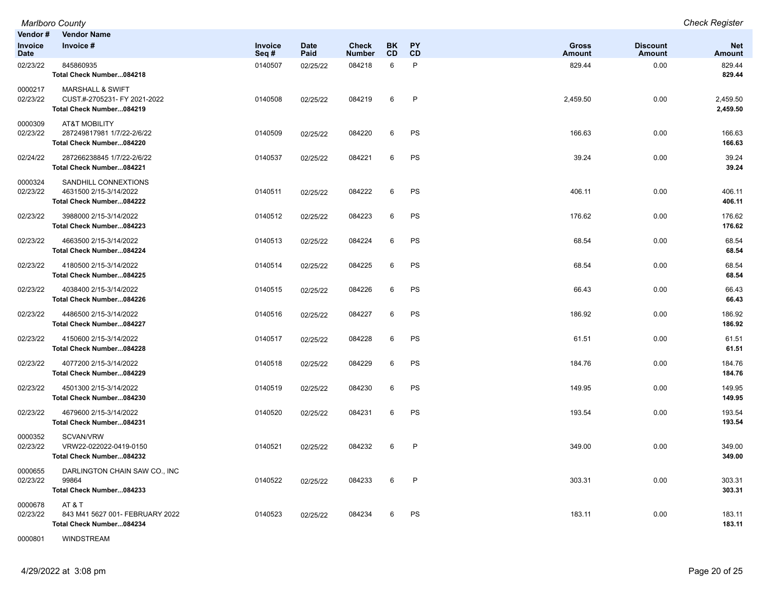| Vendor #<br>Invoice | <b>Vendor Name</b><br>Invoice #                                                         | Invoice | <b>Date</b> | <b>Check</b>  | <b>BK</b> | <b>PY</b>    | <b>Gross</b> | <b>Discount</b> | <b>Net</b>           |
|---------------------|-----------------------------------------------------------------------------------------|---------|-------------|---------------|-----------|--------------|--------------|-----------------|----------------------|
| Date                |                                                                                         | Seq#    | Paid        | <b>Number</b> | <b>CD</b> | CD           | Amount       | <b>Amount</b>   | Amount               |
| 02/23/22            | 845860935<br>Total Check Number084218                                                   | 0140507 | 02/25/22    | 084218        | 6         | $\mathsf{P}$ | 829.44       | 0.00            | 829.44<br>829.44     |
| 0000217<br>02/23/22 | <b>MARSHALL &amp; SWIFT</b><br>CUST.#-2705231- FY 2021-2022<br>Total Check Number084219 | 0140508 | 02/25/22    | 084219        | 6         | $\mathsf{P}$ | 2,459.50     | 0.00            | 2,459.50<br>2,459.50 |
| 0000309<br>02/23/22 | <b>AT&amp;T MOBILITY</b><br>287249817981 1/7/22-2/6/22<br>Total Check Number084220      | 0140509 | 02/25/22    | 084220        | 6         | PS           | 166.63       | 0.00            | 166.63<br>166.63     |
| 02/24/22            | 287266238845 1/7/22-2/6/22<br>Total Check Number084221                                  | 0140537 | 02/25/22    | 084221        | 6         | PS           | 39.24        | 0.00            | 39.24<br>39.24       |
| 0000324<br>02/23/22 | SANDHILL CONNEXTIONS<br>4631500 2/15-3/14/2022<br>Total Check Number084222              | 0140511 | 02/25/22    | 084222        | 6         | PS           | 406.11       | 0.00            | 406.11<br>406.11     |
| 02/23/22            | 3988000 2/15-3/14/2022<br>Total Check Number084223                                      | 0140512 | 02/25/22    | 084223        | 6         | PS           | 176.62       | 0.00            | 176.62<br>176.62     |
| 02/23/22            | 4663500 2/15-3/14/2022<br>Total Check Number084224                                      | 0140513 | 02/25/22    | 084224        | 6         | PS           | 68.54        | 0.00            | 68.54<br>68.54       |
| 02/23/22            | 4180500 2/15-3/14/2022<br>Total Check Number084225                                      | 0140514 | 02/25/22    | 084225        | 6         | <b>PS</b>    | 68.54        | 0.00            | 68.54<br>68.54       |
| 02/23/22            | 4038400 2/15-3/14/2022<br>Total Check Number084226                                      | 0140515 | 02/25/22    | 084226        | 6         | <b>PS</b>    | 66.43        | 0.00            | 66.43<br>66.43       |
| 02/23/22            | 4486500 2/15-3/14/2022<br>Total Check Number084227                                      | 0140516 | 02/25/22    | 084227        | 6         | PS           | 186.92       | 0.00            | 186.92<br>186.92     |
| 02/23/22            | 4150600 2/15-3/14/2022<br>Total Check Number084228                                      | 0140517 | 02/25/22    | 084228        | 6         | PS           | 61.51        | 0.00            | 61.51<br>61.51       |
| 02/23/22            | 4077200 2/15-3/14/2022<br>Total Check Number084229                                      | 0140518 | 02/25/22    | 084229        | 6         | PS           | 184.76       | 0.00            | 184.76<br>184.76     |
| 02/23/22            | 4501300 2/15-3/14/2022<br>Total Check Number084230                                      | 0140519 | 02/25/22    | 084230        | 6         | PS           | 149.95       | 0.00            | 149.95<br>149.95     |
| 02/23/22            | 4679600 2/15-3/14/2022<br>Total Check Number084231                                      | 0140520 | 02/25/22    | 084231        | 6         | PS           | 193.54       | 0.00            | 193.54<br>193.54     |
| 0000352<br>02/23/22 | SCVAN/VRW<br>VRW22-022022-0419-0150<br>Total Check Number084232                         | 0140521 | 02/25/22    | 084232        | 6         | $\mathsf{P}$ | 349.00       | 0.00            | 349.00<br>349.00     |
| 0000655<br>02/23/22 | DARLINGTON CHAIN SAW CO., INC<br>99864<br>Total Check Number084233                      | 0140522 | 02/25/22    | 084233        | 6         | $\mathsf{P}$ | 303.31       | 0.00            | 303.31<br>303.31     |
| 0000678<br>02/23/22 | AT&T<br>843 M41 5627 001- FEBRUARY 2022<br>Total Check Number084234                     | 0140523 | 02/25/22    | 084234        | 6         | PS           | 183.11       | 0.00            | 183.11<br>183.11     |

0000801 WINDSTREAM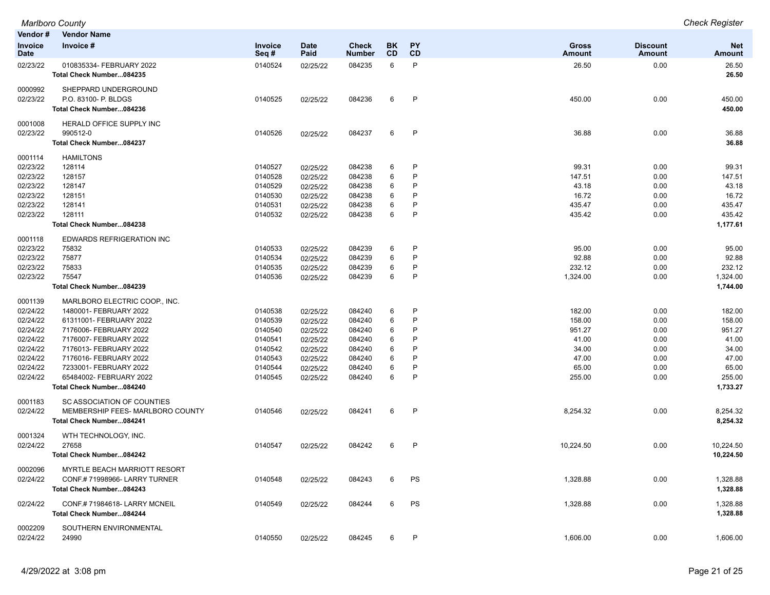| Vendor#                | <b>Vendor Name</b>                                   |                    |                      |                        |                        |              |                        |                                  |                             |
|------------------------|------------------------------------------------------|--------------------|----------------------|------------------------|------------------------|--------------|------------------------|----------------------------------|-----------------------------|
| Invoice<br><b>Date</b> | Invoice #                                            | Invoice<br>Seq#    | <b>Date</b><br>Paid  | <b>Check</b><br>Number | <b>BK</b><br><b>CD</b> | PY<br>CD     | <b>Gross</b><br>Amount | <b>Discount</b><br><b>Amount</b> | <b>Net</b><br><b>Amount</b> |
| 02/23/22               | 010835334- FEBRUARY 2022<br>Total Check Number084235 | 0140524            | 02/25/22             | 084235                 | 6                      | P            | 26.50                  | 0.00                             | 26.50<br>26.50              |
| 0000992                | SHEPPARD UNDERGROUND                                 |                    |                      |                        |                        |              |                        |                                  |                             |
| 02/23/22               | P.O. 83100- P. BLDGS                                 | 0140525            | 02/25/22             | 084236                 | 6                      | P            | 450.00                 | 0.00                             | 450.00                      |
|                        | Total Check Number084236                             |                    |                      |                        |                        |              |                        |                                  | 450.00                      |
| 0001008                | HERALD OFFICE SUPPLY INC                             |                    |                      |                        |                        |              |                        |                                  |                             |
| 02/23/22               | 990512-0                                             | 0140526            | 02/25/22             | 084237                 | 6                      | $\mathsf{P}$ | 36.88                  | 0.00                             | 36.88                       |
|                        | Total Check Number084237                             |                    |                      |                        |                        |              |                        |                                  | 36.88                       |
| 0001114                | <b>HAMILTONS</b>                                     |                    |                      |                        |                        |              |                        |                                  |                             |
| 02/23/22               | 128114                                               | 0140527            | 02/25/22             | 084238                 | 6                      | P            | 99.31                  | 0.00                             | 99.31                       |
| 02/23/22               | 128157                                               | 0140528            | 02/25/22             | 084238                 | 6                      | P            | 147.51                 | 0.00                             | 147.51                      |
| 02/23/22               | 128147                                               | 0140529            | 02/25/22             | 084238                 | 6                      | P            | 43.18                  | 0.00                             | 43.18                       |
| 02/23/22               | 128151                                               | 0140530            | 02/25/22             | 084238                 | 6                      | P            | 16.72                  | 0.00                             | 16.72                       |
| 02/23/22               | 128141                                               | 0140531            | 02/25/22             | 084238                 | 6                      | P            | 435.47                 | 0.00                             | 435.47                      |
| 02/23/22               | 128111                                               | 0140532            | 02/25/22             | 084238                 | 6                      | P            | 435.42                 | 0.00                             | 435.42                      |
|                        | Total Check Number084238                             |                    |                      |                        |                        |              |                        |                                  | 1,177.61                    |
| 0001118                | <b>EDWARDS REFRIGERATION INC</b>                     |                    |                      |                        |                        |              |                        |                                  |                             |
| 02/23/22               | 75832                                                | 0140533            | 02/25/22             | 084239                 | 6                      | P            | 95.00                  | 0.00                             | 95.00                       |
| 02/23/22               | 75877                                                | 0140534            | 02/25/22             | 084239                 | 6                      | P            | 92.88                  | 0.00                             | 92.88                       |
| 02/23/22               | 75833                                                | 0140535            | 02/25/22             | 084239                 | 6                      | P            | 232.12                 | 0.00                             | 232.12                      |
| 02/23/22               | 75547<br>Total Check Number084239                    | 0140536            | 02/25/22             | 084239                 | 6                      | P            | 1,324.00               | 0.00                             | 1,324.00<br>1,744.00        |
|                        |                                                      |                    |                      |                        |                        |              |                        |                                  |                             |
| 0001139                | MARLBORO ELECTRIC COOP INC.                          |                    |                      |                        |                        |              |                        |                                  |                             |
| 02/24/22               | 1480001- FEBRUARY 2022                               | 0140538            | 02/25/22             | 084240                 | 6                      | P<br>P       | 182.00                 | 0.00                             | 182.00                      |
| 02/24/22               | 61311001- FEBRUARY 2022                              | 0140539            | 02/25/22             | 084240                 | 6                      | P            | 158.00<br>951.27       | 0.00                             | 158.00<br>951.27            |
| 02/24/22<br>02/24/22   | 7176006- FEBRUARY 2022<br>7176007- FEBRUARY 2022     | 0140540<br>0140541 | 02/25/22             | 084240<br>084240       | 6<br>6                 | P            | 41.00                  | 0.00<br>0.00                     | 41.00                       |
| 02/24/22               | 7176013- FEBRUARY 2022                               | 0140542            | 02/25/22<br>02/25/22 | 084240                 | 6                      | P            | 34.00                  | 0.00                             | 34.00                       |
| 02/24/22               | 7176016- FEBRUARY 2022                               | 0140543            | 02/25/22             | 084240                 | 6                      | P            | 47.00                  | 0.00                             | 47.00                       |
| 02/24/22               | 7233001- FEBRUARY 2022                               | 0140544            | 02/25/22             | 084240                 | 6                      | P            | 65.00                  | 0.00                             | 65.00                       |
| 02/24/22               | 65484002- FEBRUARY 2022                              | 0140545            | 02/25/22             | 084240                 | 6                      | P            | 255.00                 | 0.00                             | 255.00                      |
|                        | Total Check Number084240                             |                    |                      |                        |                        |              |                        |                                  | 1,733.27                    |
| 0001183                | SC ASSOCIATION OF COUNTIES                           |                    |                      |                        |                        |              |                        |                                  |                             |
| 02/24/22               | MEMBERSHIP FEES- MARLBORO COUNTY                     | 0140546            | 02/25/22             | 084241                 | 6                      | P            | 8,254.32               | 0.00                             | 8,254.32                    |
|                        | Total Check Number084241                             |                    |                      |                        |                        |              |                        |                                  | 8,254.32                    |
| 0001324                | WTH TECHNOLOGY, INC.                                 |                    |                      |                        |                        |              |                        |                                  |                             |
| 02/24/22               | 27658                                                | 0140547            | 02/25/22             | 084242                 | 6                      | P            | 10,224.50              | 0.00                             | 10,224.50                   |
|                        | Total Check Number084242                             |                    |                      |                        |                        |              |                        |                                  | 10,224.50                   |
| 0002096                | MYRTLE BEACH MARRIOTT RESORT                         |                    |                      |                        |                        |              |                        |                                  |                             |
| 02/24/22               | CONF.#71998966-LARRY TURNER                          | 0140548            | 02/25/22             | 084243                 | 6                      | PS           | 1,328.88               | 0.00                             | 1,328.88                    |
|                        | Total Check Number084243                             |                    |                      |                        |                        |              |                        |                                  | 1,328.88                    |
| 02/24/22               | CONF.#71984618-LARRY MCNEIL                          | 0140549            | 02/25/22             | 084244                 | 6                      | PS           | 1,328.88               | 0.00                             | 1,328.88                    |
|                        | Total Check Number084244                             |                    |                      |                        |                        |              |                        |                                  | 1,328.88                    |
| 0002209                | SOUTHERN ENVIRONMENTAL                               |                    |                      |                        |                        |              |                        |                                  |                             |
| 02/24/22               | 24990                                                | 0140550            | 02/25/22             | 084245                 | 6                      | P            | 1,606.00               | 0.00                             | 1,606.00                    |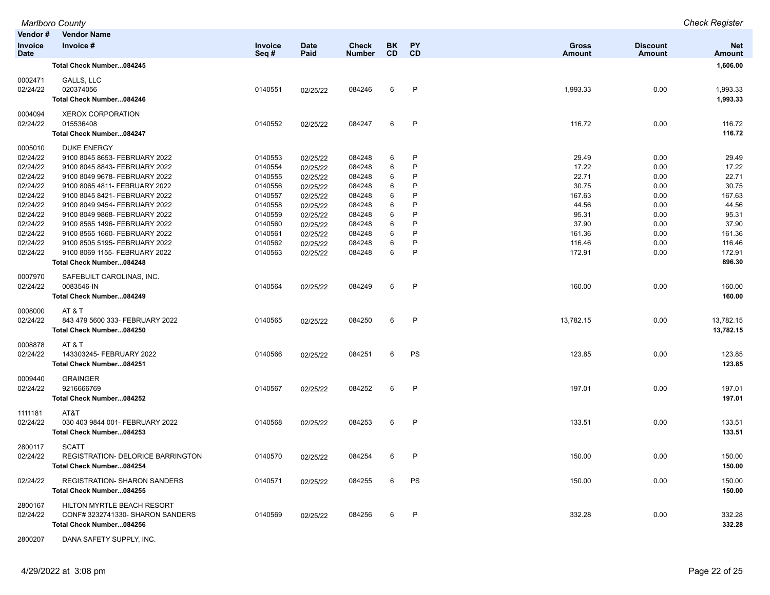|                               | <b>Marlboro County</b>            |                 |                     |                               |                        |                 |                               |                           | <b>Check Register</b>       |
|-------------------------------|-----------------------------------|-----------------|---------------------|-------------------------------|------------------------|-----------------|-------------------------------|---------------------------|-----------------------------|
| Vendor#                       | <b>Vendor Name</b>                |                 |                     |                               |                        |                 |                               |                           |                             |
| <b>Invoice</b><br><b>Date</b> | Invoice #                         | Invoice<br>Seq# | <b>Date</b><br>Paid | <b>Check</b><br><b>Number</b> | <b>BK</b><br><b>CD</b> | <b>PY</b><br>CD | <b>Gross</b><br><b>Amount</b> | <b>Discount</b><br>Amount | <b>Net</b><br><b>Amount</b> |
|                               | Total Check Number084245          |                 |                     |                               |                        |                 |                               |                           | 1,606.00                    |
| 0002471                       | GALLS, LLC                        |                 |                     |                               |                        |                 |                               |                           |                             |
| 02/24/22                      | 020374056                         | 0140551         | 02/25/22            | 084246                        | 6                      | P               | 1,993.33                      | 0.00                      | 1,993.33                    |
|                               | Total Check Number084246          |                 |                     |                               |                        |                 |                               |                           | 1,993.33                    |
| 0004094                       | <b>XEROX CORPORATION</b>          |                 |                     |                               |                        |                 |                               |                           |                             |
| 02/24/22                      | 015536408                         | 0140552         | 02/25/22            | 084247                        | 6                      | $\mathsf{P}$    | 116.72                        | 0.00                      | 116.72                      |
|                               | Total Check Number084247          |                 |                     |                               |                        |                 |                               |                           | 116.72                      |
| 0005010                       | <b>DUKE ENERGY</b>                |                 |                     |                               |                        |                 |                               |                           |                             |
| 02/24/22                      | 9100 8045 8653- FEBRUARY 2022     | 0140553         | 02/25/22            | 084248                        | 6                      | P               | 29.49                         | 0.00                      | 29.49                       |
| 02/24/22                      | 9100 8045 8843- FEBRUARY 2022     | 0140554         | 02/25/22            | 084248                        | 6                      | P               | 17.22                         | 0.00                      | 17.22                       |
| 02/24/22                      | 9100 8049 9678- FEBRUARY 2022     | 0140555         | 02/25/22            | 084248                        | 6                      | P               | 22.71                         | 0.00                      | 22.71                       |
| 02/24/22                      | 9100 8065 4811- FEBRUARY 2022     | 0140556         | 02/25/22            | 084248                        | 6                      | P               | 30.75                         | 0.00                      | 30.75                       |
| 02/24/22                      | 9100 8045 8421- FEBRUARY 2022     | 0140557         | 02/25/22            | 084248                        | 6                      | P               | 167.63                        | 0.00                      | 167.63                      |
| 02/24/22                      | 9100 8049 9454- FEBRUARY 2022     | 0140558         | 02/25/22            | 084248                        | 6                      | P               | 44.56                         | 0.00                      | 44.56                       |
| 02/24/22                      | 9100 8049 9868- FEBRUARY 2022     | 0140559         | 02/25/22            | 084248                        | 6                      | P               | 95.31                         | 0.00                      | 95.31                       |
| 02/24/22                      | 9100 8565 1496- FEBRUARY 2022     | 0140560         | 02/25/22            | 084248                        | 6                      | P               | 37.90                         | 0.00                      | 37.90                       |
| 02/24/22                      | 9100 8565 1660- FEBRUARY 2022     | 0140561         | 02/25/22            | 084248                        | 6                      | P               | 161.36                        | 0.00                      | 161.36                      |
| 02/24/22                      | 9100 8505 5195- FEBRUARY 2022     | 0140562         | 02/25/22            | 084248                        | 6                      | P               | 116.46                        | 0.00                      | 116.46                      |
| 02/24/22                      | 9100 8069 1155- FEBRUARY 2022     | 0140563         | 02/25/22            | 084248                        | 6                      | P               | 172.91                        | 0.00                      | 172.91                      |
|                               | Total Check Number084248          |                 |                     |                               |                        |                 |                               |                           | 896.30                      |
| 0007970                       | SAFEBUILT CAROLINAS, INC.         |                 |                     |                               |                        |                 |                               |                           |                             |
| 02/24/22                      | 0083546-IN                        | 0140564         | 02/25/22            | 084249                        | 6                      | P               | 160.00                        | 0.00                      | 160.00                      |
|                               | Total Check Number084249          |                 |                     |                               |                        |                 |                               |                           | 160.00                      |
| 0008000                       | AT & T                            |                 |                     |                               |                        |                 |                               |                           |                             |
| 02/24/22                      | 843 479 5600 333- FEBRUARY 2022   | 0140565         | 02/25/22            | 084250                        | 6                      | $\mathsf{P}$    | 13,782.15                     | 0.00                      | 13,782.15                   |
|                               | Total Check Number084250          |                 |                     |                               |                        |                 |                               |                           | 13,782.15                   |
| 0008878                       | AT&T                              |                 |                     |                               |                        |                 |                               |                           |                             |
| 02/24/22                      | 143303245- FEBRUARY 2022          | 0140566         | 02/25/22            | 084251                        | 6                      | PS              | 123.85                        | 0.00                      | 123.85                      |
|                               | Total Check Number084251          |                 |                     |                               |                        |                 |                               |                           | 123.85                      |
| 0009440                       | <b>GRAINGER</b>                   |                 |                     |                               |                        |                 |                               |                           |                             |
| 02/24/22                      | 9216666769                        | 0140567         | 02/25/22            | 084252                        | 6                      | P               | 197.01                        | 0.00                      | 197.01                      |
|                               | Total Check Number084252          |                 |                     |                               |                        |                 |                               |                           | 197.01                      |
| 1111181                       | AT&T                              |                 |                     |                               |                        |                 |                               |                           |                             |
| 02/24/22                      | 030 403 9844 001- FEBRUARY 2022   | 0140568         | 02/25/22            | 084253                        | 6                      | $\mathsf{P}$    | 133.51                        | 0.00                      | 133.51                      |
|                               | Total Check Number084253          |                 |                     |                               |                        |                 |                               |                           | 133.51                      |
| 2800117                       | <b>SCATT</b>                      |                 |                     |                               |                        |                 |                               |                           |                             |
| 02/24/22                      | REGISTRATION- DELORICE BARRINGTON | 0140570         | 02/25/22            | 084254                        | 6                      |                 | 150.00                        | 0.00                      | 150.00                      |
|                               | Total Check Number084254          |                 |                     |                               |                        |                 |                               |                           | 150.00                      |
| 02/24/22                      | REGISTRATION- SHARON SANDERS      | 0140571         | 02/25/22            | 084255                        | 6                      | PS              | 150.00                        | 0.00                      | 150.00                      |
|                               | Total Check Number084255          |                 |                     |                               |                        |                 |                               |                           | 150.00                      |
| 2800167                       | HILTON MYRTLE BEACH RESORT        |                 |                     |                               |                        |                 |                               |                           |                             |
| 02/24/22                      | CONF# 3232741330- SHARON SANDERS  | 0140569         | 02/25/22            | 084256                        | 6                      | $\mathsf{P}$    | 332.28                        | 0.00                      | 332.28                      |
|                               | Total Check Number084256          |                 |                     |                               |                        |                 |                               |                           | 332.28                      |
|                               |                                   |                 |                     |                               |                        |                 |                               |                           |                             |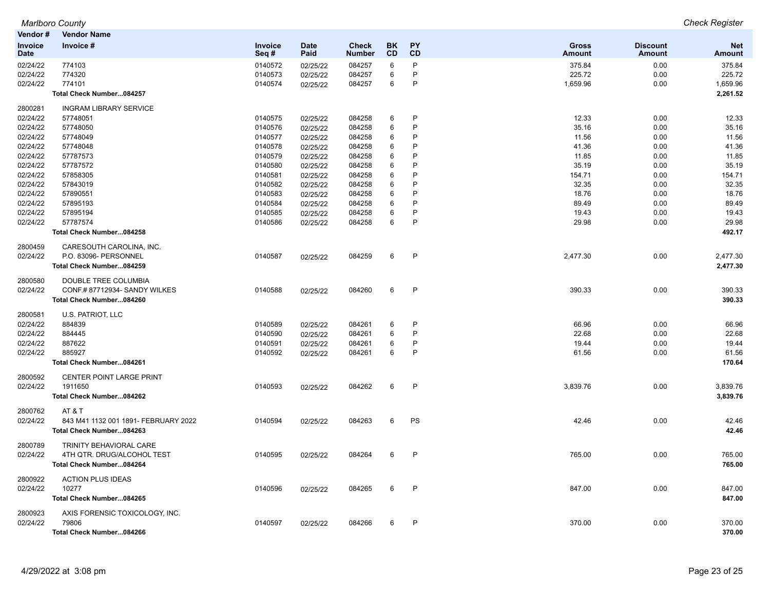| <b>Marlboro County</b>  | <b>Check Register</b> |
|-------------------------|-----------------------|
| Vondor #<br>Vandor Namo |                       |

| Vendor#                       | <b>Vendor Name</b>                   |                           |                     |                               |                 |                 |                               |                                  |                             |
|-------------------------------|--------------------------------------|---------------------------|---------------------|-------------------------------|-----------------|-----------------|-------------------------------|----------------------------------|-----------------------------|
| <b>Invoice</b><br><b>Date</b> | Invoice #                            | <b>Invoice</b><br>Seq $#$ | <b>Date</b><br>Paid | <b>Check</b><br><b>Number</b> | <b>BK</b><br>CD | <b>PY</b><br>CD | <b>Gross</b><br><b>Amount</b> | <b>Discount</b><br><b>Amount</b> | <b>Net</b><br><b>Amount</b> |
| 02/24/22                      | 774103                               | 0140572                   | 02/25/22            | 084257                        | 6               | P               | 375.84                        | 0.00                             | 375.84                      |
| 02/24/22                      | 774320                               | 0140573                   | 02/25/22            | 084257                        | 6               | P               | 225.72                        | 0.00                             | 225.72                      |
| 02/24/22                      | 774101                               | 0140574                   | 02/25/22            | 084257                        | 6               | P               | 1,659.96                      | 0.00                             | 1,659.96                    |
|                               | Total Check Number084257             |                           |                     |                               |                 |                 |                               |                                  | 2,261.52                    |
| 2800281                       | <b>INGRAM LIBRARY SERVICE</b>        |                           |                     |                               |                 |                 |                               |                                  |                             |
| 02/24/22                      | 57748051                             | 0140575                   | 02/25/22            | 084258                        | 6               | P               | 12.33                         | 0.00                             | 12.33                       |
| 02/24/22                      | 57748050                             | 0140576                   | 02/25/22            | 084258                        | 6               | P               | 35.16                         | 0.00                             | 35.16                       |
| 02/24/22                      | 57748049                             | 0140577                   | 02/25/22            | 084258                        | 6               | P               | 11.56                         | 0.00                             | 11.56                       |
| 02/24/22                      | 57748048                             | 0140578                   | 02/25/22            | 084258                        | 6               | P               | 41.36                         | 0.00                             | 41.36                       |
| 02/24/22                      | 57787573                             | 0140579                   | 02/25/22            | 084258                        | 6               | P               | 11.85                         | 0.00                             | 11.85                       |
| 02/24/22                      | 57787572                             | 0140580                   | 02/25/22            | 084258                        | 6               | P               | 35.19                         | 0.00                             | 35.19                       |
| 02/24/22                      | 57858305                             | 0140581                   | 02/25/22            | 084258                        | 6               | P               | 154.71                        | 0.00                             | 154.71                      |
| 02/24/22                      | 57843019                             | 0140582                   | 02/25/22            | 084258                        | 6               | P               | 32.35                         | 0.00                             | 32.35                       |
| 02/24/22                      | 57890551                             | 0140583                   | 02/25/22            | 084258                        | 6               | P               | 18.76                         | 0.00                             | 18.76                       |
| 02/24/22                      | 57895193                             | 0140584                   | 02/25/22            | 084258                        | 6               | P               | 89.49                         | 0.00                             | 89.49                       |
| 02/24/22                      | 57895194                             | 0140585                   | 02/25/22            | 084258                        | 6               | P               | 19.43                         | 0.00                             | 19.43                       |
| 02/24/22                      | 57787574                             | 0140586                   | 02/25/22            | 084258                        | 6               | P               | 29.98                         | 0.00                             | 29.98                       |
|                               | Total Check Number084258             |                           |                     |                               |                 |                 |                               |                                  | 492.17                      |
| 2800459                       | CARESOUTH CAROLINA. INC.             |                           |                     |                               |                 |                 |                               |                                  |                             |
| 02/24/22                      | P.O. 83096- PERSONNEL                | 0140587                   | 02/25/22            | 084259                        | 6               | P               | 2,477.30                      | 0.00                             | 2,477.30                    |
|                               | Total Check Number084259             |                           |                     |                               |                 |                 |                               |                                  | 2,477.30                    |
| 2800580                       | DOUBLE TREE COLUMBIA                 |                           |                     |                               |                 |                 |                               |                                  |                             |
| 02/24/22                      | CONF.# 87712934- SANDY WILKES        | 0140588                   | 02/25/22            | 084260                        | 6               | $\mathsf{P}$    | 390.33                        | 0.00                             | 390.33                      |
|                               | Total Check Number084260             |                           |                     |                               |                 |                 |                               |                                  | 390.33                      |
| 2800581                       | U.S. PATRIOT, LLC                    |                           |                     |                               |                 |                 |                               |                                  |                             |
| 02/24/22                      | 884839                               | 0140589                   | 02/25/22            | 084261                        | 6               | P               | 66.96                         | 0.00                             | 66.96                       |
| 02/24/22                      | 884445                               | 0140590                   | 02/25/22            | 084261                        | 6               | P               | 22.68                         | 0.00                             | 22.68                       |
| 02/24/22                      | 887622                               | 0140591                   | 02/25/22            | 084261                        | 6               | P               | 19.44                         | 0.00                             | 19.44                       |
| 02/24/22                      | 885927                               | 0140592                   | 02/25/22            | 084261                        | 6               | P               | 61.56                         | 0.00                             | 61.56                       |
|                               | Total Check Number084261             |                           |                     |                               |                 |                 |                               |                                  | 170.64                      |
| 2800592                       | CENTER POINT LARGE PRINT             |                           |                     |                               |                 |                 |                               |                                  |                             |
| 02/24/22                      | 1911650                              | 0140593                   | 02/25/22            | 084262                        | 6               | P               | 3,839.76                      | 0.00                             | 3,839.76                    |
|                               | Total Check Number084262             |                           |                     |                               |                 |                 |                               |                                  | 3,839.76                    |
| 2800762                       | AT & T                               |                           |                     |                               |                 |                 |                               |                                  |                             |
| 02/24/22                      | 843 M41 1132 001 1891- FEBRUARY 2022 | 0140594                   | 02/25/22            | 084263                        | 6               | PS              | 42.46                         | 0.00                             | 42.46                       |
|                               | Total Check Number084263             |                           |                     |                               |                 |                 |                               |                                  | 42.46                       |
| 2800789                       | TRINITY BEHAVIORAL CARE              |                           |                     |                               |                 |                 |                               |                                  |                             |
| 02/24/22                      | 4TH QTR. DRUG/ALCOHOL TEST           | 0140595                   | 02/25/22            | 084264                        | 6               | P               | 765.00                        | 0.00                             | 765.00                      |
|                               | Total Check Number084264             |                           |                     |                               |                 |                 |                               |                                  | 765.00                      |
| 2800922                       | <b>ACTION PLUS IDEAS</b>             |                           |                     |                               |                 |                 |                               |                                  |                             |
| 02/24/22                      | 10277                                | 0140596                   | 02/25/22            | 084265                        | 6               | P               | 847.00                        | 0.00                             | 847.00                      |
|                               | Total Check Number084265             |                           |                     |                               |                 |                 |                               |                                  | 847.00                      |
| 2800923                       | AXIS FORENSIC TOXICOLOGY, INC.       |                           |                     |                               |                 |                 |                               |                                  |                             |
| 02/24/22                      | 79806                                | 0140597                   | 02/25/22            | 084266                        | 6               | P               | 370.00                        | 0.00                             | 370.00                      |
|                               | Total Check Number084266             |                           |                     |                               |                 |                 |                               |                                  | 370.00                      |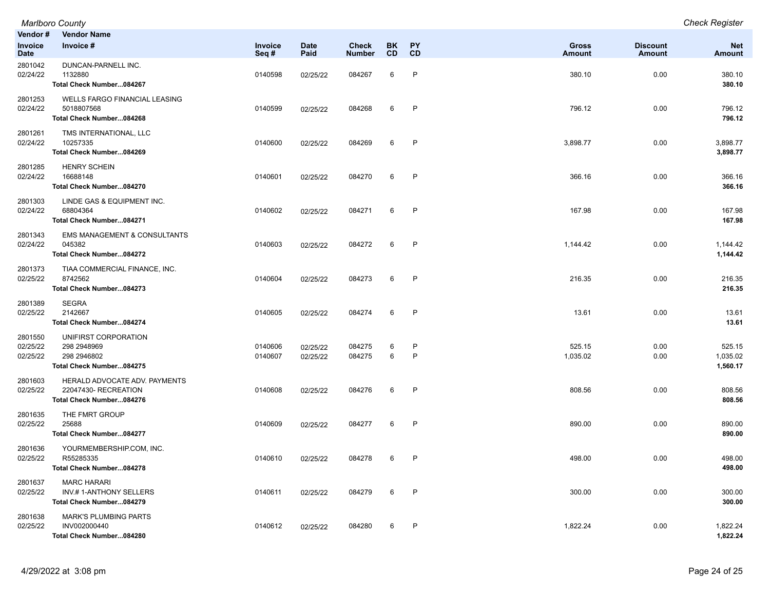| Vendor #<br>Invoice<br><b>Date</b> | <b>Vendor Name</b><br>Invoice #                                                  | Invoice<br>Seq#    | <b>Date</b><br>Paid  | <b>Check</b><br><b>Number</b> | <b>BK</b><br><b>CD</b> | <b>PY</b><br>CD | <b>Gross</b><br><b>Amount</b> | <b>Discount</b><br>Amount | <b>Net</b><br><b>Amount</b>    |
|------------------------------------|----------------------------------------------------------------------------------|--------------------|----------------------|-------------------------------|------------------------|-----------------|-------------------------------|---------------------------|--------------------------------|
| 2801042<br>02/24/22                | DUNCAN-PARNELL INC.<br>1132880<br>Total Check Number084267                       | 0140598            | 02/25/22             | 084267                        | 6                      | P               | 380.10                        | 0.00                      | 380.10<br>380.10               |
| 2801253<br>02/24/22                | <b>WELLS FARGO FINANCIAL LEASING</b><br>5018807568<br>Total Check Number084268   | 0140599            | 02/25/22             | 084268                        | 6                      | P               | 796.12                        | 0.00                      | 796.12<br>796.12               |
| 2801261<br>02/24/22                | TMS INTERNATIONAL, LLC<br>10257335<br>Total Check Number084269                   | 0140600            | 02/25/22             | 084269                        | 6                      | P               | 3,898.77                      | 0.00                      | 3,898.77<br>3,898.77           |
| 2801285<br>02/24/22                | <b>HENRY SCHEIN</b><br>16688148<br>Total Check Number084270                      | 0140601            | 02/25/22             | 084270                        | 6                      | P               | 366.16                        | 0.00                      | 366.16<br>366.16               |
| 2801303<br>02/24/22                | LINDE GAS & EQUIPMENT INC.<br>68804364<br>Total Check Number084271               | 0140602            | 02/25/22             | 084271                        | 6                      | P               | 167.98                        | 0.00                      | 167.98<br>167.98               |
| 2801343<br>02/24/22                | EMS MANAGEMENT & CONSULTANTS<br>045382<br>Total Check Number084272               | 0140603            | 02/25/22             | 084272                        | 6                      | P               | 1,144.42                      | 0.00                      | 1,144.42<br>1,144.42           |
| 2801373<br>02/25/22                | TIAA COMMERCIAL FINANCE, INC.<br>8742562<br>Total Check Number084273             | 0140604            | 02/25/22             | 084273                        | 6                      | P               | 216.35                        | 0.00                      | 216.35<br>216.35               |
| 2801389<br>02/25/22                | <b>SEGRA</b><br>2142667<br>Total Check Number084274                              | 0140605            | 02/25/22             | 084274                        | 6                      | P               | 13.61                         | 0.00                      | 13.61<br>13.61                 |
| 2801550<br>02/25/22<br>02/25/22    | UNIFIRST CORPORATION<br>298 2948969<br>298 2946802<br>Total Check Number084275   | 0140606<br>0140607 | 02/25/22<br>02/25/22 | 084275<br>084275              | 6<br>6                 | P<br>P          | 525.15<br>1,035.02            | 0.00<br>0.00              | 525.15<br>1,035.02<br>1,560.17 |
| 2801603<br>02/25/22                | HERALD ADVOCATE ADV. PAYMENTS<br>22047430-RECREATION<br>Total Check Number084276 | 0140608            | 02/25/22             | 084276                        | 6                      | $\mathsf{P}$    | 808.56                        | 0.00                      | 808.56<br>808.56               |
| 2801635<br>02/25/22                | THE FMRT GROUP<br>25688<br>Total Check Number084277                              | 0140609            | 02/25/22             | 084277                        | 6                      | P               | 890.00                        | 0.00                      | 890.00<br>890.00               |
| 2801636<br>02/25/22                | YOURMEMBERSHIP.COM, INC.<br>R55285335<br>Total Check Number084278                | 0140610            | 02/25/22             | 084278                        | 6                      | P               | 498.00                        | 0.00                      | 498.00<br>498.00               |
| 2801637<br>02/25/22                | <b>MARC HARARI</b><br><b>INV.# 1-ANTHONY SELLERS</b><br>Total Check Number084279 | 0140611            | 02/25/22             | 084279                        | 6                      | P               | 300.00                        | 0.00                      | 300.00<br>300.00               |
| 2801638<br>02/25/22                | <b>MARK'S PLUMBING PARTS</b><br>INV002000440<br>Total Check Number084280         | 0140612            | 02/25/22             | 084280                        | 6                      | P               | 1,822.24                      | 0.00                      | 1,822.24<br>1,822.24           |